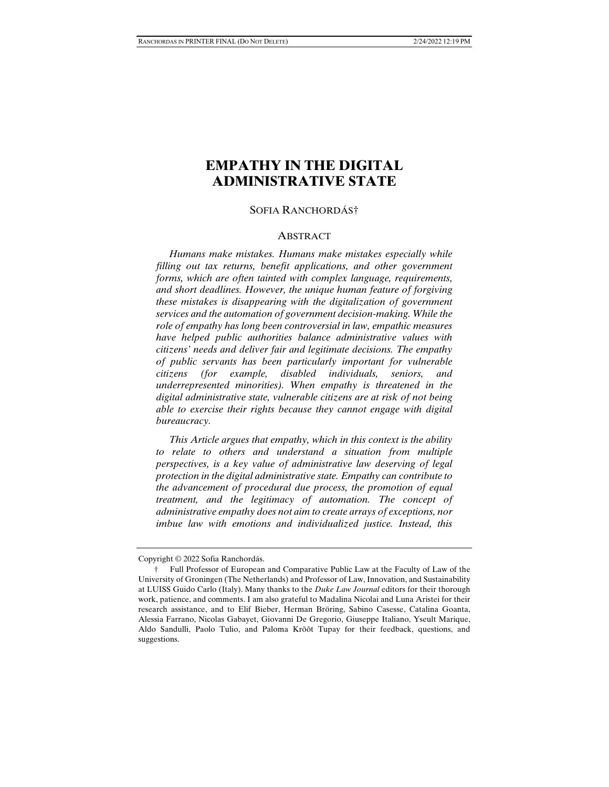# **EMPATHY IN THE DIGITAL ADMINISTRATIVE STATE**

#### SOFIA RANCHORDÁS†

#### ABSTRACT

 *Humans make mistakes. Humans make mistakes especially while filling out tax returns, benefit applications, and other government forms, which are often tainted with complex language, requirements, and short deadlines. However, the unique human feature of forgiving these mistakes is disappearing with the digitalization of government services and the automation of government decision-making. While the role of empathy has long been controversial in law, empathic measures have helped public authorities balance administrative values with citizens' needs and deliver fair and legitimate decisions. The empathy of public servants has been particularly important for vulnerable citizens (for example, disabled individuals, seniors, and underrepresented minorities). When empathy is threatened in the digital administrative state, vulnerable citizens are at risk of not being able to exercise their rights because they cannot engage with digital bureaucracy.* 

 *This Article argues that empathy, which in this context is the ability to relate to others and understand a situation from multiple perspectives, is a key value of administrative law deserving of legal protection in the digital administrative state. Empathy can contribute to the advancement of procedural due process, the promotion of equal treatment, and the legitimacy of automation. The concept of administrative empathy does not aim to create arrays of exceptions, nor imbue law with emotions and individualized justice. Instead, this* 

Copyright © 2022 Sofia Ranchordás.

 <sup>†</sup> Full Professor of European and Comparative Public Law at the Faculty of Law of the University of Groningen (The Netherlands) and Professor of Law, Innovation, and Sustainability at LUISS Guido Carlo (Italy). Many thanks to the *Duke Law Journal* editors for their thorough work, patience, and comments. I am also grateful to Madalina Nicolai and Luna Aristei for their research assistance, and to Elif Bieber, Herman Bröring, Sabino Casesse, Catalina Goanta, Alessia Farrano, Nicolas Gabayet, Giovanni De Gregorio, Giuseppe Italiano, Yseult Marique, Aldo Sandulli, Paolo Tulio, and Paloma Krõõt Tupay for their feedback, questions, and suggestions.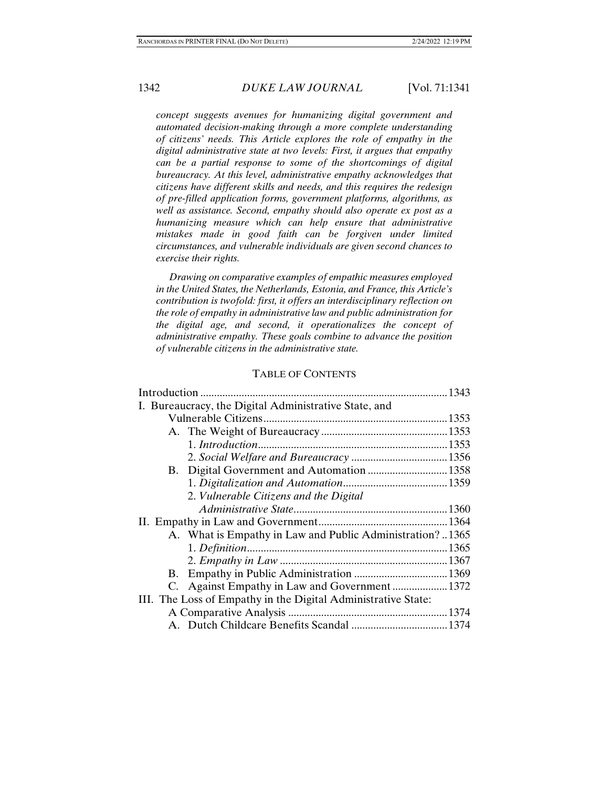*concept suggests avenues for humanizing digital government and automated decision-making through a more complete understanding of citizens' needs. This Article explores the role of empathy in the digital administrative state at two levels: First, it argues that empathy can be a partial response to some of the shortcomings of digital bureaucracy. At this level, administrative empathy acknowledges that citizens have different skills and needs, and this requires the redesign of pre-filled application forms, government platforms, algorithms, as well as assistance. Second, empathy should also operate ex post as a humanizing measure which can help ensure that administrative mistakes made in good faith can be forgiven under limited circumstances, and vulnerable individuals are given second chances to exercise their rights.* 

 *Drawing on comparative examples of empathic measures employed in the United States, the Netherlands, Estonia, and France, this Article's contribution is twofold: first, it offers an interdisciplinary reflection on the role of empathy in administrative law and public administration for the digital age, and second, it operationalizes the concept of administrative empathy. These goals combine to advance the position of vulnerable citizens in the administrative state.* 

## TABLE OF CONTENTS

| I. Bureaucracy, the Digital Administrative State, and         |
|---------------------------------------------------------------|
|                                                               |
|                                                               |
|                                                               |
|                                                               |
| B. Digital Government and Automation  1358                    |
|                                                               |
| 2. Vulnerable Citizens and the Digital                        |
|                                                               |
|                                                               |
| A. What is Empathy in Law and Public Administration? 1365     |
|                                                               |
|                                                               |
|                                                               |
|                                                               |
| III. The Loss of Empathy in the Digital Administrative State: |
|                                                               |
|                                                               |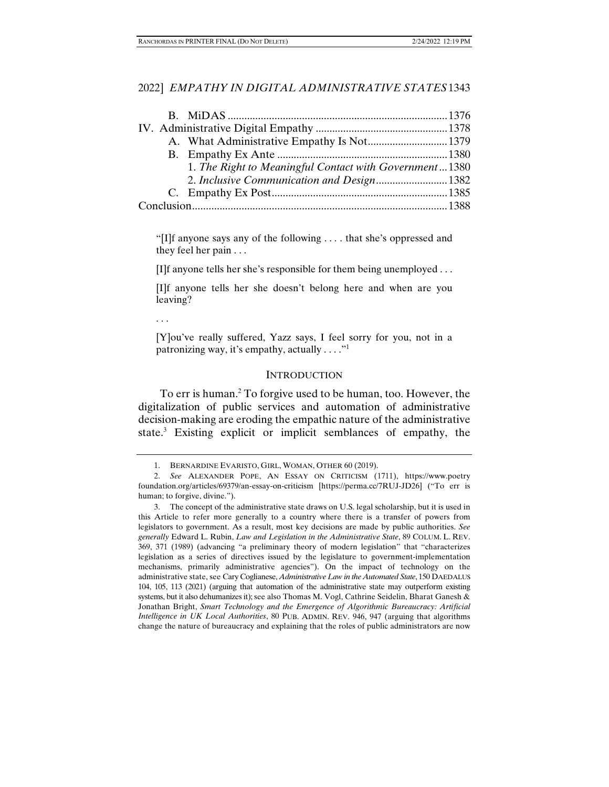|  | 1. The Right to Meaningful Contact with Government1380 |  |
|--|--------------------------------------------------------|--|
|  | 2. Inclusive Communication and Design 1382             |  |
|  |                                                        |  |
|  |                                                        |  |

"[I]f anyone says any of the following . . . . that she's oppressed and they feel her pain . . .

[I]f anyone tells her she's responsible for them being unemployed . . .

[I]f anyone tells her she doesn't belong here and when are you leaving?

. . .

[Y]ou've really suffered, Yazz says, I feel sorry for you, not in a patronizing way, it's empathy, actually  $\dots$ ."

#### **INTRODUCTION**

To err is human.<sup>2</sup> To forgive used to be human, too. However, the digitalization of public services and automation of administrative decision-making are eroding the empathic nature of the administrative state.3 Existing explicit or implicit semblances of empathy, the

 <sup>1.</sup> BERNARDINE EVARISTO, GIRL, WOMAN, OTHER 60 (2019).

 <sup>2.</sup> *See* ALEXANDER POPE, AN ESSAY ON CRITICISM (1711), https://www.poetry foundation.org/articles/69379/an-essay-on-criticism [https://perma.cc/7RUJ-JD26] ("To err is human; to forgive, divine.").

 <sup>3.</sup> The concept of the administrative state draws on U.S. legal scholarship, but it is used in this Article to refer more generally to a country where there is a transfer of powers from legislators to government. As a result, most key decisions are made by public authorities. *See generally* Edward L. Rubin, *Law and Legislation in the Administrative State*, 89 COLUM. L. REV. 369, 371 (1989) (advancing "a preliminary theory of modern legislation" that "characterizes legislation as a series of directives issued by the legislature to government-implementation mechanisms, primarily administrative agencies"). On the impact of technology on the administrative state, see Cary Coglianese, *Administrative Law in the Automated State*, 150 DAEDALUS 104, 105, 113 (2021) (arguing that automation of the administrative state may outperform existing systems, but it also dehumanizes it); see also Thomas M. Vogl, Cathrine Seidelin, Bharat Ganesh & Jonathan Bright, *Smart Technology and the Emergence of Algorithmic Bureaucracy: Artificial Intelligence in UK Local Authorities*, 80 PUB. ADMIN. REV. 946, 947 (arguing that algorithms change the nature of bureaucracy and explaining that the roles of public administrators are now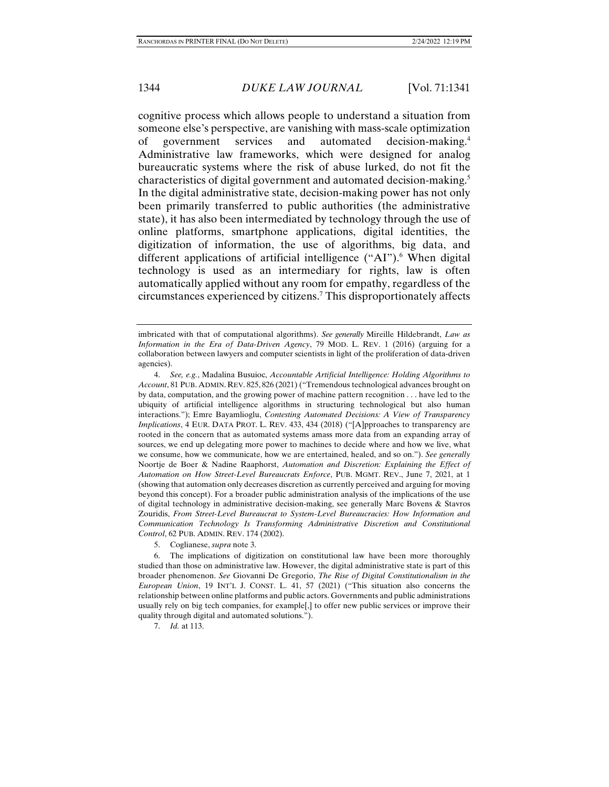cognitive process which allows people to understand a situation from someone else's perspective, are vanishing with mass-scale optimization of government services and automated decision-making.4 Administrative law frameworks, which were designed for analog bureaucratic systems where the risk of abuse lurked, do not fit the characteristics of digital government and automated decision-making.5 In the digital administrative state, decision-making power has not only been primarily transferred to public authorities (the administrative state), it has also been intermediated by technology through the use of online platforms, smartphone applications, digital identities, the digitization of information, the use of algorithms, big data, and different applications of artificial intelligence ("AI").<sup>6</sup> When digital technology is used as an intermediary for rights, law is often automatically applied without any room for empathy, regardless of the circumstances experienced by citizens.7 This disproportionately affects

5. Coglianese, *supra* note 3.

imbricated with that of computational algorithms). *See generally* Mireille Hildebrandt, *Law as Information in the Era of Data-Driven Agency*, 79 MOD. L. REV. 1 (2016) (arguing for a collaboration between lawyers and computer scientists in light of the proliferation of data-driven agencies).

 <sup>4.</sup> *See, e.g.*, Madalina Busuioc, *Accountable Artificial Intelligence: Holding Algorithms to Account*, 81 PUB. ADMIN. REV. 825, 826 (2021) ("Tremendous technological advances brought on by data, computation, and the growing power of machine pattern recognition . . . have led to the ubiquity of artificial intelligence algorithms in structuring technological but also human interactions."); Emre Bayamlioglu, *Contesting Automated Decisions: A View of Transparency Implications*, 4 EUR. DATA PROT. L. REV. 433, 434 (2018) ("[A]pproaches to transparency are rooted in the concern that as automated systems amass more data from an expanding array of sources, we end up delegating more power to machines to decide where and how we live, what we consume, how we communicate, how we are entertained, healed, and so on."). *See generally* Noortje de Boer & Nadine Raaphorst, *Automation and Discretion: Explaining the Effect of Automation on How Street-Level Bureaucrats Enforce*, PUB. MGMT. REV., June 7, 2021, at 1 (showing that automation only decreases discretion as currently perceived and arguing for moving beyond this concept). For a broader public administration analysis of the implications of the use of digital technology in administrative decision-making, see generally Marc Bovens & Stavros Zouridis, *From Street-Level Bureaucrat to System-Level Bureaucracies: How Information and Communication Technology Is Transforming Administrative Discretion and Constitutional Control*, 62 PUB. ADMIN. REV. 174 (2002).

 <sup>6.</sup> The implications of digitization on constitutional law have been more thoroughly studied than those on administrative law. However, the digital administrative state is part of this broader phenomenon. *See* Giovanni De Gregorio, *The Rise of Digital Constitutionalism in the European Union*, 19 INT'L J. CONST. L. 41, 57 (2021) ("This situation also concerns the relationship between online platforms and public actors. Governments and public administrations usually rely on big tech companies, for example[,] to offer new public services or improve their quality through digital and automated solutions.").

 <sup>7.</sup> *Id.* at 113.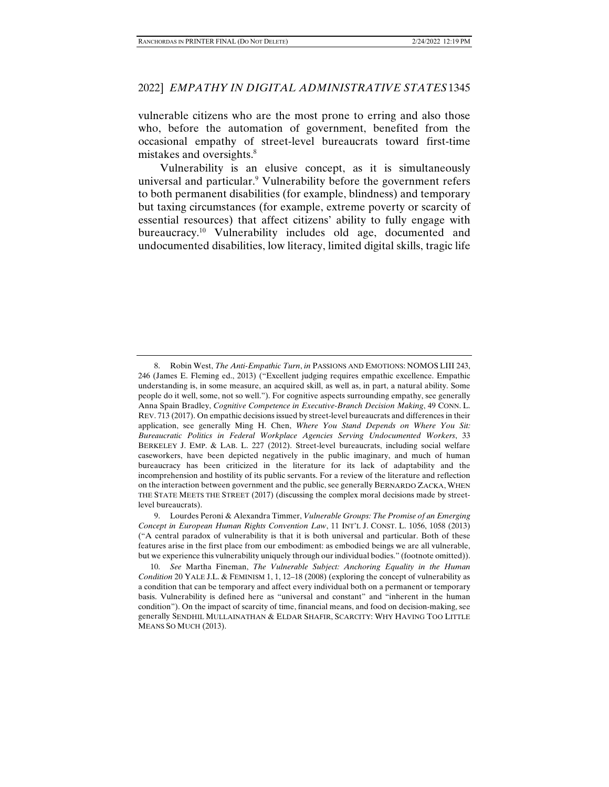vulnerable citizens who are the most prone to erring and also those who, before the automation of government, benefited from the occasional empathy of street-level bureaucrats toward first-time mistakes and oversights.<sup>8</sup>

Vulnerability is an elusive concept, as it is simultaneously universal and particular.<sup>9</sup> Vulnerability before the government refers to both permanent disabilities (for example, blindness) and temporary but taxing circumstances (for example, extreme poverty or scarcity of essential resources) that affect citizens' ability to fully engage with bureaucracy.10 Vulnerability includes old age, documented and undocumented disabilities, low literacy, limited digital skills, tragic life

 <sup>8.</sup> Robin West, *The Anti-Empathic Turn*, *in* PASSIONS AND EMOTIONS: NOMOS LIII 243, 246 (James E. Fleming ed., 2013) ("Excellent judging requires empathic excellence. Empathic understanding is, in some measure, an acquired skill, as well as, in part, a natural ability. Some people do it well, some, not so well."). For cognitive aspects surrounding empathy, see generally Anna Spain Bradley, *Cognitive Competence in Executive-Branch Decision Making*, 49 CONN. L. REV. 713 (2017). On empathic decisions issued by street-level bureaucrats and differences in their application, see generally Ming H. Chen, *Where You Stand Depends on Where You Sit: Bureaucratic Politics in Federal Workplace Agencies Serving Undocumented Workers*, 33 BERKELEY J. EMP. & LAB. L. 227 (2012). Street-level bureaucrats, including social welfare caseworkers, have been depicted negatively in the public imaginary, and much of human bureaucracy has been criticized in the literature for its lack of adaptability and the incomprehension and hostility of its public servants. For a review of the literature and reflection on the interaction between government and the public, see generally BERNARDO ZACKA, WHEN THE STATE MEETS THE STREET (2017) (discussing the complex moral decisions made by streetlevel bureaucrats).

 <sup>9.</sup> Lourdes Peroni & Alexandra Timmer, *Vulnerable Groups: The Promise of an Emerging Concept in European Human Rights Convention Law*, 11 INT'L J. CONST. L. 1056, 1058 (2013) ("A central paradox of vulnerability is that it is both universal and particular. Both of these features arise in the first place from our embodiment: as embodied beings we are all vulnerable, but we experience this vulnerability uniquely through our individual bodies." (footnote omitted)).

 <sup>10.</sup> *See* Martha Fineman, *The Vulnerable Subject: Anchoring Equality in the Human Condition* 20 YALE J.L. & FEMINISM 1, 1, 12–18 (2008) (exploring the concept of vulnerability as a condition that can be temporary and affect every individual both on a permanent or temporary basis. Vulnerability is defined here as "universal and constant" and "inherent in the human condition"). On the impact of scarcity of time, financial means, and food on decision-making, see generally SENDHIL MULLAINATHAN & ELDAR SHAFIR, SCARCITY: WHY HAVING TOO LITTLE MEANS SO MUCH (2013).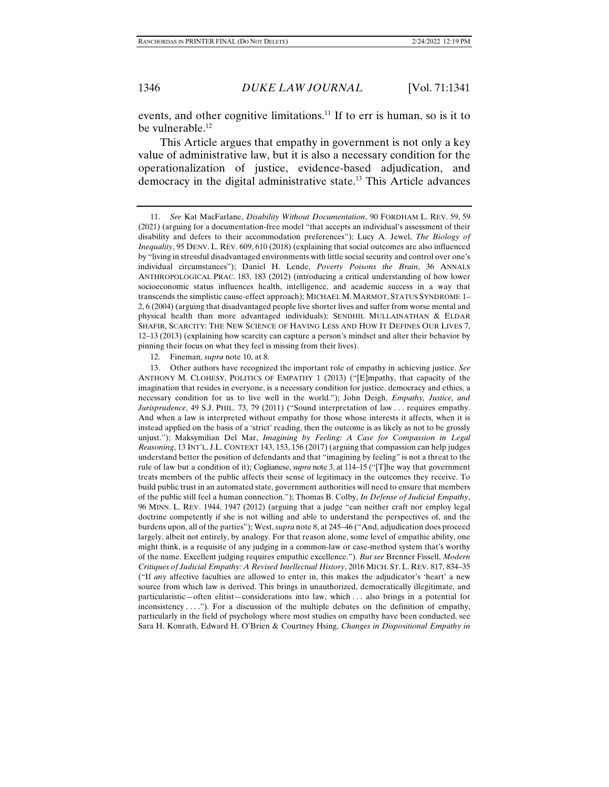events, and other cognitive limitations.<sup>11</sup> If to err is human, so is it to be vulnerable. $12$ 

This Article argues that empathy in government is not only a key value of administrative law, but it is also a necessary condition for the operationalization of justice, evidence-based adjudication, and democracy in the digital administrative state.13 This Article advances

12. Fineman, *supra* note 10, at 8.

 13. Other authors have recognized the important role of empathy in achieving justice. *See*  ANTHONY M. CLOHESY, POLITICS OF EMPATHY 1 (2013) ("[E]mpathy, that capacity of the imagination that resides in everyone, is a necessary condition for justice, democracy and ethics, a necessary condition for us to live well in the world."); John Deigh, *Empathy, Justice, and Jurisprudence*, 49 S.J. PHIL. 73, 79 (2011) ("Sound interpretation of law . . . requires empathy. And when a law is interpreted without empathy for those whose interests it affects, when it is instead applied on the basis of a 'strict' reading, then the outcome is as likely as not to be grossly unjust."); Maksymilian Del Mar, *Imagining by Feeling: A Case for Compassion in Legal Reasoning*, 13 INT'L. J.L. CONTEXT 143, 153, 156 (2017) (arguing that compassion can help judges understand better the position of defendants and that "imagining by feeling" is not a threat to the rule of law but a condition of it); Coglianese, *supra* note 3, at 114–15 ("[T]he way that government treats members of the public affects their sense of legitimacy in the outcomes they receive. To build public trust in an automated state, government authorities will need to ensure that members of the public still feel a human connection."); Thomas B. Colby, *In Defense of Judicial Empathy*, 96 MINN. L. REV. 1944, 1947 (2012) (arguing that a judge "can neither craft nor employ legal doctrine competently if she is not willing and able to understand the perspectives of, and the burdens upon, all of the parties"); West, *supra* note 8, at 245–46 ("And, adjudication does proceed largely, albeit not entirely, by analogy. For that reason alone, some level of empathic ability, one might think, is a requisite of any judging in a common-law or case-method system that's worthy of the name. Excellent judging requires empathic excellence."). *But see* Brenner Fissell, *Modern Critiques of Judicial Empathy: A Revised Intellectual History*, 2016 MICH. ST. L. REV. 817, 834–35 ("If *any* affective faculties are allowed to enter in, this makes the adjudicator's 'heart' a new source from which law is derived. This brings in unauthorized, democratically illegitimate, and particularistic—often elitist—considerations into law, which . . . also brings in a potential for inconsistency  $\dots$ ."). For a discussion of the multiple debates on the definition of empathy, particularly in the field of psychology where most studies on empathy have been conducted, see Sara H. Konrath, Edward H. O'Brien & Courtney Hsing, *Changes in Dispositional Empathy in* 

 <sup>11.</sup> *See* Kat MacFarlane, *Disability Without Documentation*, 90 FORDHAM L. REV. 59, 59 (2021) (arguing for a documentation-free model "that accepts an individual's assessment of their disability and defers to their accommodation preferences"); Lucy A. Jewel, *The Biology of Inequality*, 95 DENV. L. REV. 609, 610 (2018) (explaining that social outcomes are also influenced by "living in stressful disadvantaged environments with little social security and control over one's individual circumstances"); Daniel H. Lende, *Poverty Poisons the Brain*, 36 ANNALS ANTHROPOLOGICAL PRAC. 183, 183 (2012) (introducing a critical understanding of how lower socioeconomic status influences health, intelligence, and academic success in a way that transcends the simplistic cause-effect approach); MICHAEL M. MARMOT, STATUS SYNDROME 1– 2, 6 (2004) (arguing that disadvantaged people live shorter lives and suffer from worse mental and physical health than more advantaged individuals); SENDHIL MULLAINATHAN & ELDAR SHAFIR, SCARCITY: THE NEW SCIENCE OF HAVING LESS AND HOW IT DEFINES OUR LIVES 7, 12–13 (2013) (explaining how scarcity can capture a person's mindset and alter their behavior by pinning their focus on what they feel is missing from their lives).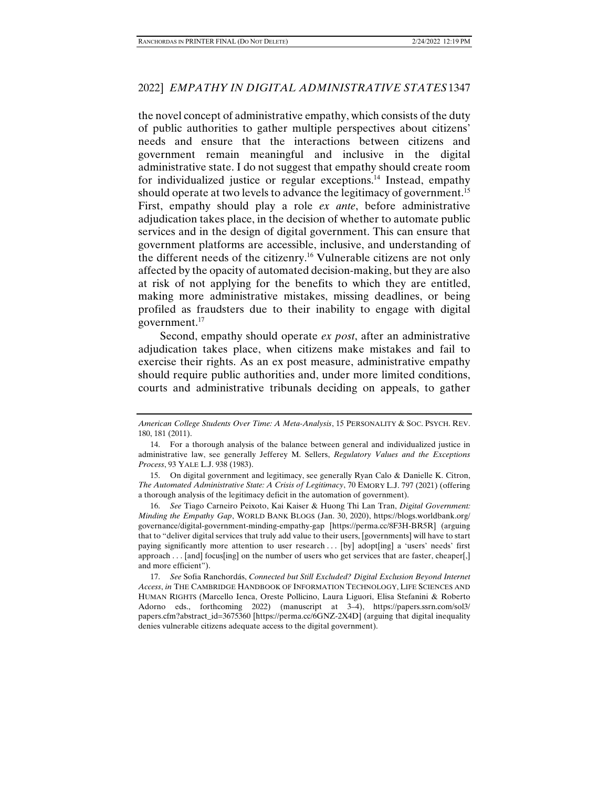the novel concept of administrative empathy, which consists of the duty of public authorities to gather multiple perspectives about citizens' needs and ensure that the interactions between citizens and government remain meaningful and inclusive in the digital administrative state. I do not suggest that empathy should create room for individualized justice or regular exceptions.14 Instead, empathy should operate at two levels to advance the legitimacy of government.<sup>15</sup> First, empathy should play a role *ex ante*, before administrative adjudication takes place, in the decision of whether to automate public services and in the design of digital government. This can ensure that government platforms are accessible, inclusive, and understanding of the different needs of the citizenry.16 Vulnerable citizens are not only affected by the opacity of automated decision-making, but they are also at risk of not applying for the benefits to which they are entitled, making more administrative mistakes, missing deadlines, or being profiled as fraudsters due to their inability to engage with digital government.<sup>17</sup>

Second, empathy should operate *ex post*, after an administrative adjudication takes place, when citizens make mistakes and fail to exercise their rights. As an ex post measure, administrative empathy should require public authorities and, under more limited conditions, courts and administrative tribunals deciding on appeals, to gather

 16. *See* Tiago Carneiro Peixoto, Kai Kaiser & Huong Thi Lan Tran, *Digital Government: Minding the Empathy Gap*, WORLD BANK BLOGS (Jan. 30, 2020), https://blogs.worldbank.org/ governance/digital-government-minding-empathy-gap [https://perma.cc/8F3H-BR5R] (arguing that to "deliver digital services that truly add value to their users, [governments] will have to start paying significantly more attention to user research ... [by] adopt[ing] a 'users' needs' first approach . . . [and] focus[ing] on the number of users who get services that are faster, cheaper[,] and more efficient").

*American College Students Over Time: A Meta-Analysis*, 15 PERSONALITY & SOC. PSYCH. REV. 180, 181 (2011).

 <sup>14.</sup> For a thorough analysis of the balance between general and individualized justice in administrative law, see generally Jefferey M. Sellers, *Regulatory Values and the Exceptions Process*, 93 YALE L.J. 938 (1983).

 <sup>15.</sup> On digital government and legitimacy, see generally Ryan Calo & Danielle K. Citron, *The Automated Administrative State: A Crisis of Legitimacy*, 70 EMORY L.J. 797 (2021) (offering a thorough analysis of the legitimacy deficit in the automation of government).

 <sup>17.</sup> *See* Sofia Ranchordás, *Connected but Still Excluded? Digital Exclusion Beyond Internet Access*, *in* THE CAMBRIDGE HANDBOOK OF INFORMATION TECHNOLOGY, LIFE SCIENCES AND HUMAN RIGHTS (Marcello Ienca, Oreste Pollicino, Laura Liguori, Elisa Stefanini & Roberto Adorno eds., forthcoming 2022) (manuscript at 3–4), https://papers.ssrn.com/sol3/ papers.cfm?abstract\_id=3675360 [https://perma.cc/6GNZ-2X4D] (arguing that digital inequality denies vulnerable citizens adequate access to the digital government).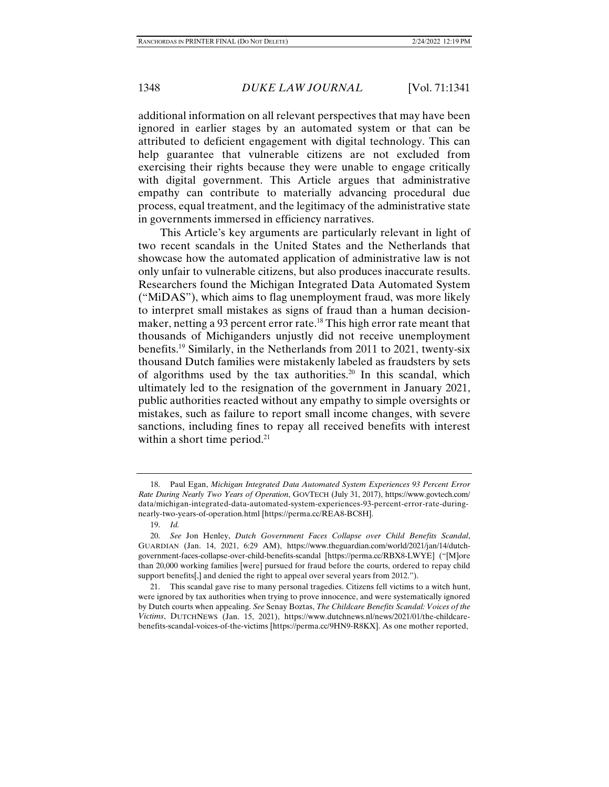additional information on all relevant perspectives that may have been ignored in earlier stages by an automated system or that can be attributed to deficient engagement with digital technology. This can help guarantee that vulnerable citizens are not excluded from exercising their rights because they were unable to engage critically with digital government. This Article argues that administrative empathy can contribute to materially advancing procedural due process, equal treatment, and the legitimacy of the administrative state in governments immersed in efficiency narratives.

This Article's key arguments are particularly relevant in light of two recent scandals in the United States and the Netherlands that showcase how the automated application of administrative law is not only unfair to vulnerable citizens, but also produces inaccurate results. Researchers found the Michigan Integrated Data Automated System ("MiDAS"), which aims to flag unemployment fraud, was more likely to interpret small mistakes as signs of fraud than a human decisionmaker, netting a 93 percent error rate.<sup>18</sup> This high error rate meant that thousands of Michiganders unjustly did not receive unemployment benefits.19 Similarly, in the Netherlands from 2011 to 2021, twenty-six thousand Dutch families were mistakenly labeled as fraudsters by sets of algorithms used by the tax authorities.<sup>20</sup> In this scandal, which ultimately led to the resignation of the government in January 2021, public authorities reacted without any empathy to simple oversights or mistakes, such as failure to report small income changes, with severe sanctions, including fines to repay all received benefits with interest within a short time period.<sup>21</sup>

 <sup>18.</sup> Paul Egan, *Michigan Integrated Data Automated System Experiences 93 Percent Error Rate During Nearly Two Years of Operation*, GOVTECH (July 31, 2017), https://www.govtech.com/ data/michigan-integrated-data-automated-system-experiences-93-percent-error-rate-duringnearly-two-years-of-operation.html [https://perma.cc/REA8-BC8H].

 <sup>19.</sup> *Id.*

 <sup>20.</sup> *See* Jon Henley, *Dutch Government Faces Collapse over Child Benefits Scandal*, GUARDIAN (Jan. 14, 2021, 6:29 AM), https://www.theguardian.com/world/2021/jan/14/dutchgovernment-faces-collapse-over-child-benefits-scandal [https://perma.cc/RBX8-LWYE] ("[M]ore than 20,000 working families [were] pursued for fraud before the courts, ordered to repay child support benefits[,] and denied the right to appeal over several years from 2012.").

 <sup>21.</sup> This scandal gave rise to many personal tragedies. Citizens fell victims to a witch hunt, were ignored by tax authorities when trying to prove innocence, and were systematically ignored by Dutch courts when appealing. *See* Senay Boztas, *The Childcare Benefits Scandal: Voices of the Victims*, DUTCHNEWS (Jan. 15, 2021), https://www.dutchnews.nl/news/2021/01/the-childcarebenefits-scandal-voices-of-the-victims [https://perma.cc/9HN9-R8KX]. As one mother reported,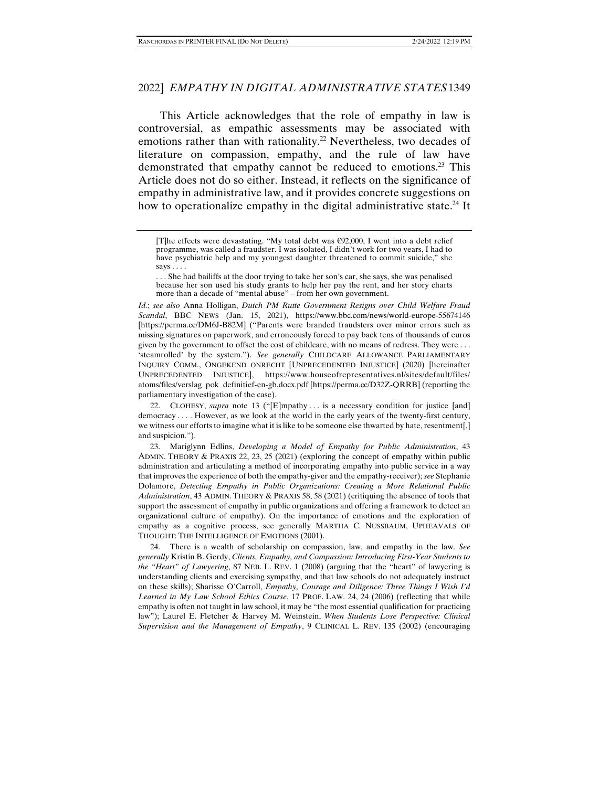This Article acknowledges that the role of empathy in law is controversial, as empathic assessments may be associated with emotions rather than with rationality.<sup>22</sup> Nevertheless, two decades of literature on compassion, empathy, and the rule of law have demonstrated that empathy cannot be reduced to emotions.<sup>23</sup> This Article does not do so either. Instead, it reflects on the significance of empathy in administrative law, and it provides concrete suggestions on how to operationalize empathy in the digital administrative state.<sup>24</sup> It

. . . She had bailiffs at the door trying to take her son's car, she says, she was penalised because her son used his study grants to help her pay the rent, and her story charts more than a decade of "mental abuse" – from her own government.

*Id.*; *see also* Anna Holligan, *Dutch PM Rutte Government Resigns over Child Welfare Fraud Scandal*, BBC NEWS (Jan. 15, 2021), https://www.bbc.com/news/world-europe-55674146 [https://perma.cc/DM6J-B82M] ("Parents were branded fraudsters over minor errors such as missing signatures on paperwork, and erroneously forced to pay back tens of thousands of euros given by the government to offset the cost of childcare, with no means of redress. They were . . . 'steamrolled' by the system."). *See generally* CHILDCARE ALLOWANCE PARLIAMENTARY INQUIRY COMM., ONGEKEND ONRECHT [UNPRECEDENTED INJUSTICE] (2020) [hereinafter UNPRECEDENTED INJUSTICE], https://www.houseofrepresentatives.nl/sites/default/files/ atoms/files/verslag\_pok\_definitief-en-gb.docx.pdf [https://perma.cc/D32Z-QRRB] (reporting the parliamentary investigation of the case).

22. CLOHESY, *supra* note 13 ("[E]mpathy ... is a necessary condition for justice [and] democracy . . . . However, as we look at the world in the early years of the twenty-first century, we witness our efforts to imagine what it is like to be someone else thwarted by hate, resentment[,] and suspicion.").

 23. Mariglynn Edlins, *Developing a Model of Empathy for Public Administration*, 43 ADMIN. THEORY & PRAXIS 22, 23, 25 (2021) (exploring the concept of empathy within public administration and articulating a method of incorporating empathy into public service in a way that improves the experience of both the empathy-giver and the empathy-receiver); *see* Stephanie Dolamore, *Detecting Empathy in Public Organizations: Creating a More Relational Public Administration*, 43 ADMIN. THEORY & PRAXIS 58, 58 (2021) (critiquing the absence of tools that support the assessment of empathy in public organizations and offering a framework to detect an organizational culture of empathy). On the importance of emotions and the exploration of empathy as a cognitive process, see generally MARTHA C. NUSSBAUM, UPHEAVALS OF THOUGHT: THE INTELLIGENCE OF EMOTIONS (2001).

 24. There is a wealth of scholarship on compassion, law, and empathy in the law. *See generally* Kristin B. Gerdy, *Clients, Empathy, and Compassion: Introducing First-Year Students to the "Heart" of Lawyering*, 87 NEB. L. REV. 1 (2008) (arguing that the "heart" of lawyering is understanding clients and exercising sympathy, and that law schools do not adequately instruct on these skills); Sharisse O'Carroll, *Empathy, Courage and Diligence: Three Things I Wish I'd Learned in My Law School Ethics Course*, 17 PROF. LAW. 24, 24 (2006) (reflecting that while empathy is often not taught in law school, it may be "the most essential qualification for practicing law"); Laurel E. Fletcher & Harvey M. Weinstein, *When Students Lose Perspective: Clinical Supervision and the Management of Empathy*, 9 CLINICAL L. REV. 135 (2002) (encouraging

<sup>[</sup>T]he effects were devastating. "My total debt was  $\epsilon$ 92,000, I went into a debt relief programme, was called a fraudster. I was isolated, I didn't work for two years, I had to have psychiatric help and my youngest daughter threatened to commit suicide," she says . . . .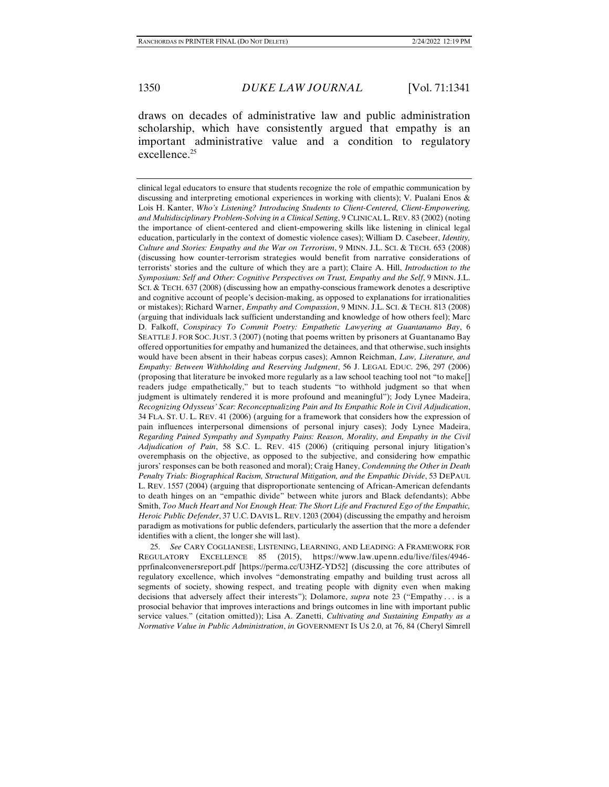draws on decades of administrative law and public administration scholarship, which have consistently argued that empathy is an important administrative value and a condition to regulatory excellence.<sup>25</sup>

clinical legal educators to ensure that students recognize the role of empathic communication by discussing and interpreting emotional experiences in working with clients); V. Pualani Enos & Lois H. Kanter, *Who's Listening? Introducing Students to Client-Centered, Client-Empowering, and Multidisciplinary Problem-Solving in a Clinical Setting*, 9 CLINICAL L. REV. 83 (2002) (noting the importance of client-centered and client-empowering skills like listening in clinical legal education, particularly in the context of domestic violence cases); William D. Casebeer, *Identity, Culture and Stories: Empathy and the War on Terrorism*, 9 MINN. J.L. SCI. & TECH. 653 (2008) (discussing how counter-terrorism strategies would benefit from narrative considerations of terrorists' stories and the culture of which they are a part); Claire A. Hill, *Introduction to the Symposium: Self and Other: Cognitive Perspectives on Trust, Empathy and the Self*, 9 MINN. J.L. SCI. & TECH. 637 (2008) (discussing how an empathy-conscious framework denotes a descriptive and cognitive account of people's decision-making, as opposed to explanations for irrationalities or mistakes); Richard Warner, *Empathy and Compassion*, 9 MINN. J.L. SCI. & TECH. 813 (2008) (arguing that individuals lack sufficient understanding and knowledge of how others feel); Marc D. Falkoff, *Conspiracy To Commit Poetry: Empathetic Lawyering at Guantanamo Bay*, 6 SEATTLE J. FOR SOC. JUST. 3 (2007) (noting that poems written by prisoners at Guantanamo Bay offered opportunities for empathy and humanized the detainees, and that otherwise, such insights would have been absent in their habeas corpus cases); Amnon Reichman, *Law, Literature, and Empathy: Between Withholding and Reserving Judgment*, 56 J. LEGAL EDUC. 296, 297 (2006) (proposing that literature be invoked more regularly as a law school teaching tool not "to make[] readers judge empathetically," but to teach students "to withhold judgment so that when judgment is ultimately rendered it is more profound and meaningful"); Jody Lynee Madeira, *Recognizing Odysseus' Scar: Reconceptualizing Pain and Its Empathic Role in Civil Adjudication*, 34 FLA. ST. U. L. REV. 41 (2006) (arguing for a framework that considers how the expression of pain influences interpersonal dimensions of personal injury cases); Jody Lynee Madeira, *Regarding Pained Sympathy and Sympathy Pains: Reason, Morality, and Empathy in the Civil Adjudication of Pain*, 58 S.C. L. REV. 415 (2006) (critiquing personal injury litigation's overemphasis on the objective, as opposed to the subjective, and considering how empathic jurors' responses can be both reasoned and moral); Craig Haney, *Condemning the Other in Death Penalty Trials: Biographical Racism, Structural Mitigation, and the Empathic Divide*, 53 DEPAUL L. REV. 1557 (2004) (arguing that disproportionate sentencing of African-American defendants to death hinges on an "empathic divide" between white jurors and Black defendants); Abbe Smith, *Too Much Heart and Not Enough Heat: The Short Life and Fractured Ego of the Empathic, Heroic Public Defender*, 37 U.C. DAVIS L. REV. 1203 (2004) (discussing the empathy and heroism paradigm as motivations for public defenders, particularly the assertion that the more a defender identifies with a client, the longer she will last).

 25. *See* CARY COGLIANESE, LISTENING, LEARNING, AND LEADING: A FRAMEWORK FOR REGULATORY EXCELLENCE 85 (2015), https://www.law.upenn.edu/live/files/4946 pprfinalconvenersreport.pdf [https://perma.cc/U3HZ-YD52] (discussing the core attributes of regulatory excellence, which involves "demonstrating empathy and building trust across all segments of society, showing respect, and treating people with dignity even when making decisions that adversely affect their interests"); Dolamore, *supra* note 23 ("Empathy . . . is a prosocial behavior that improves interactions and brings outcomes in line with important public service values." (citation omitted)); Lisa A. Zanetti, *Cultivating and Sustaining Empathy as a Normative Value in Public Administration*, *in* GOVERNMENT IS US 2.0, at 76, 84 (Cheryl Simrell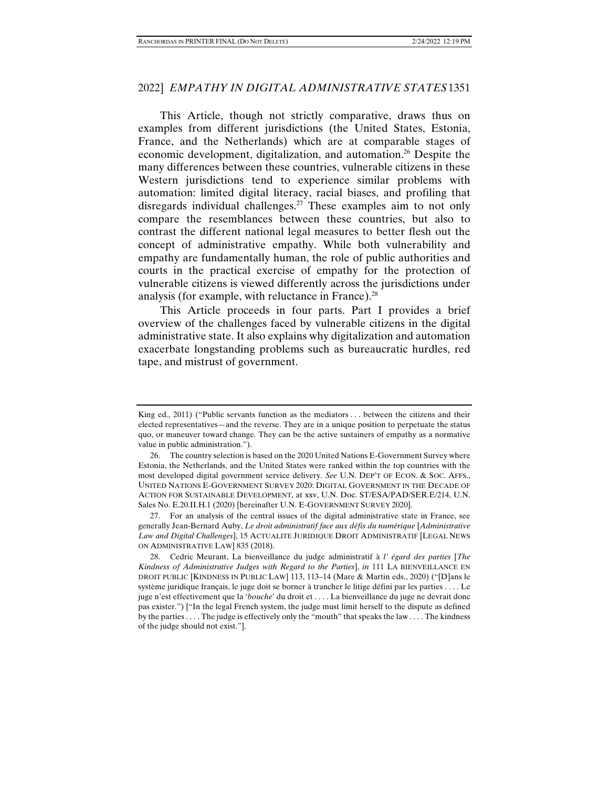This Article, though not strictly comparative, draws thus on examples from different jurisdictions (the United States, Estonia, France, and the Netherlands) which are at comparable stages of economic development, digitalization, and automation.<sup>26</sup> Despite the many differences between these countries, vulnerable citizens in these Western jurisdictions tend to experience similar problems with automation: limited digital literacy, racial biases, and profiling that disregards individual challenges.<sup>27</sup> These examples aim to not only compare the resemblances between these countries, but also to contrast the different national legal measures to better flesh out the concept of administrative empathy. While both vulnerability and empathy are fundamentally human, the role of public authorities and courts in the practical exercise of empathy for the protection of vulnerable citizens is viewed differently across the jurisdictions under analysis (for example, with reluctance in France).28

This Article proceeds in four parts. Part I provides a brief overview of the challenges faced by vulnerable citizens in the digital administrative state. It also explains why digitalization and automation exacerbate longstanding problems such as bureaucratic hurdles, red tape, and mistrust of government.

King ed., 2011) ("Public servants function as the mediators . . . between the citizens and their elected representatives—and the reverse. They are in a unique position to perpetuate the status quo, or maneuver toward change. They can be the active sustainers of empathy as a normative value in public administration.").

 <sup>26.</sup> The country selection is based on the 2020 United Nations E-Government Survey where Estonia, the Netherlands, and the United States were ranked within the top countries with the most developed digital government service delivery. *See* U.N. DEP'T OF ECON. & SOC. AFFS., UNITED NATIONS E-GOVERNMENT SURVEY 2020: DIGITAL GOVERNMENT IN THE DECADE OF ACTION FOR SUSTAINABLE DEVELOPMENT, at xxv, U.N. Doc. ST/ESA/PAD/SER.E/214, U.N. Sales No. E.20.II.H.1 (2020) [hereinafter U.N. E-GOVERNMENT SURVEY 2020].

 <sup>27.</sup> For an analysis of the central issues of the digital administrative state in France, see generally Jean-Bernard Auby, *Le droit administratif face aux défis du numérique* [*Administrative Law and Digital Challenges*], 15 ACTUALITE JURIDIQUE DROIT ADMINISTRATIF [LEGAL NEWS ON ADMINISTRATIVE LAW] 835 (2018).

 <sup>28.</sup> Cedric Meurant, La bienveillance du judge administratif à *l' égard des parties* [*The Kindness of Administrative Judges with Regard to the Parties*], *in* 111 LA BIENVEILLANCE EN DROIT PUBLIC [KINDNESS IN PUBLIC LAW] 113, 113–14 (Mare & Martin eds., 2020) ("[D]ans le système juridique français, le juge doit se borner à trancher le litige défini par les parties . . . . Le juge n'est effectivement que la '*bouche*' du droit et . . . . La bienveillance du juge ne devrait donc pas exister.") ["In the legal French system, the judge must limit herself to the dispute as defined by the parties . . . . The judge is effectively only the "mouth" that speaks the law . . . . The kindness of the judge should not exist."].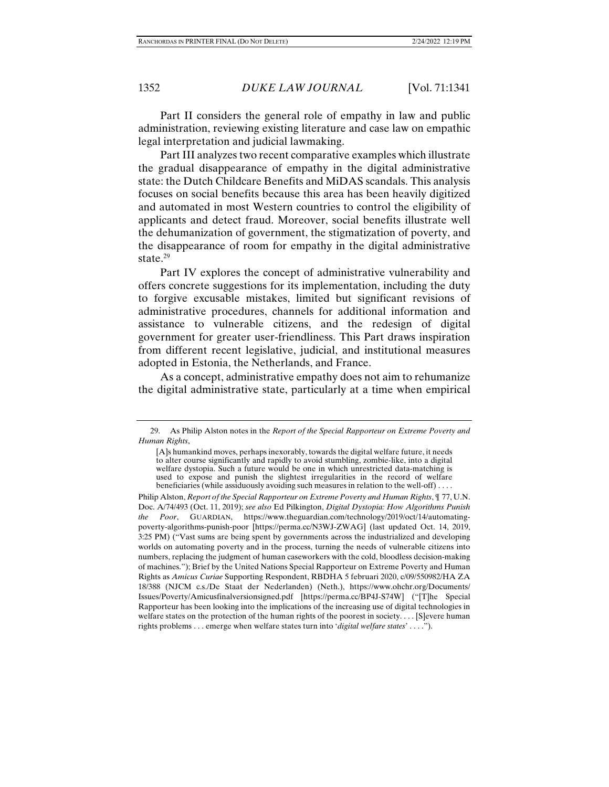Part II considers the general role of empathy in law and public administration, reviewing existing literature and case law on empathic legal interpretation and judicial lawmaking.

Part III analyzes two recent comparative examples which illustrate the gradual disappearance of empathy in the digital administrative state: the Dutch Childcare Benefits and MiDAS scandals. This analysis focuses on social benefits because this area has been heavily digitized and automated in most Western countries to control the eligibility of applicants and detect fraud. Moreover, social benefits illustrate well the dehumanization of government, the stigmatization of poverty, and the disappearance of room for empathy in the digital administrative state. $29$ 

Part IV explores the concept of administrative vulnerability and offers concrete suggestions for its implementation, including the duty to forgive excusable mistakes, limited but significant revisions of administrative procedures, channels for additional information and assistance to vulnerable citizens, and the redesign of digital government for greater user-friendliness. This Part draws inspiration from different recent legislative, judicial, and institutional measures adopted in Estonia, the Netherlands, and France.

As a concept, administrative empathy does not aim to rehumanize the digital administrative state, particularly at a time when empirical

 <sup>29.</sup> As Philip Alston notes in the *Report of the Special Rapporteur on Extreme Poverty and Human Rights*,

<sup>[</sup>A]s humankind moves, perhaps inexorably, towards the digital welfare future, it needs to alter course significantly and rapidly to avoid stumbling, zombie-like, into a digital welfare dystopia. Such a future would be one in which unrestricted data-matching is used to expose and punish the slightest irregularities in the record of welfare beneficiaries (while assiduously avoiding such measures in relation to the well-off) . . . .

Philip Alston, *Report of the Special Rapporteur on Extreme Poverty and Human Rights*, ¶ 77, U.N. Doc. A/74/493 (Oct. 11, 2019); *see also* Ed Pilkington, *Digital Dystopia: How Algorithms Punish the Poor*, GUARDIAN, https://www.theguardian.com/technology/2019/oct/14/automatingpoverty-algorithms-punish-poor [https://perma.cc/N3WJ-ZWAG] (last updated Oct. 14, 2019, 3:25 PM) ("Vast sums are being spent by governments across the industrialized and developing worlds on automating poverty and in the process, turning the needs of vulnerable citizens into numbers, replacing the judgment of human caseworkers with the cold, bloodless decision-making of machines."); Brief by the United Nations Special Rapporteur on Extreme Poverty and Human Rights as *Amicus Curiae* Supporting Respondent, RBDHA 5 februari 2020, c/09/550982/HA ZA 18/388 (NJCM c.s./De Staat der Nederlanden) (Neth.), https://www.ohchr.org/Documents/ Issues/Poverty/Amicusfinalversionsigned.pdf [https://perma.cc/BP4J-S74W] ("[T]he Special Rapporteur has been looking into the implications of the increasing use of digital technologies in welfare states on the protection of the human rights of the poorest in society.... [S]evere human rights problems . . . emerge when welfare states turn into '*digital welfare states*' . . . .").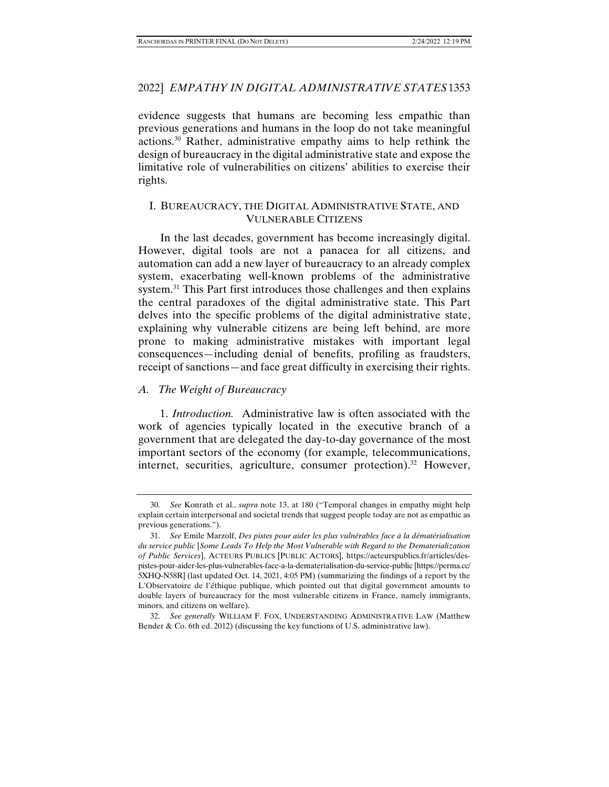# 2022] *EMPATHY IN DIGITAL ADMINISTRATIVE STATES* 1353

evidence suggests that humans are becoming less empathic than previous generations and humans in the loop do not take meaningful actions.30 Rather, administrative empathy aims to help rethink the design of bureaucracy in the digital administrative state and expose the limitative role of vulnerabilities on citizens' abilities to exercise their rights.

# I. BUREAUCRACY, THE DIGITAL ADMINISTRATIVE STATE, AND VULNERABLE CITIZENS

In the last decades, government has become increasingly digital. However, digital tools are not a panacea for all citizens, and automation can add a new layer of bureaucracy to an already complex system, exacerbating well-known problems of the administrative system.<sup>31</sup> This Part first introduces those challenges and then explains the central paradoxes of the digital administrative state. This Part delves into the specific problems of the digital administrative state, explaining why vulnerable citizens are being left behind, are more prone to making administrative mistakes with important legal consequences*—*including denial of benefits, profiling as fraudsters, receipt of sanctions—and face great difficulty in exercising their rights.

# *A. The Weight of Bureaucracy*

1. *Introduction.* Administrative law is often associated with the work of agencies typically located in the executive branch of a government that are delegated the day-to-day governance of the most important sectors of the economy (for example*,* telecommunications, internet, securities, agriculture, consumer protection).<sup>32</sup> However,

 <sup>30.</sup> *See* Konrath et al., *supra* note 13, at 180 ("Temporal changes in empathy might help explain certain interpersonal and societal trends that suggest people today are not as empathic as previous generations.").

 <sup>31.</sup> *See* Emile Marzolf, *Des pistes pour aider les plus vulnérables face à la dématérialisation du service public* [*Some Leads To Help the Most Vulnerable with Regard to the Dematerialization of Public Services*], ACTEURS PUBLICS [PUBLIC ACTORS], https://acteurspublics.fr/articles/despistes-pour-aider-les-plus-vulnerables-face-a-la-dematerialisation-du-service-public [https://perma.cc/ 5XHQ-N58R] (last updated Oct. 14, 2021, 4:05 PM) (summarizing the findings of a report by the L'Observatoire de l'éthique publique, which pointed out that digital government amounts to double layers of bureaucracy for the most vulnerable citizens in France, namely immigrants, minors, and citizens on welfare).

 <sup>32.</sup> *See generally* WILLIAM F. FOX, UNDERSTANDING ADMINISTRATIVE LAW (Matthew Bender  $\&$  Co. 6th ed. 2012) (discussing the key functions of U.S. administrative law).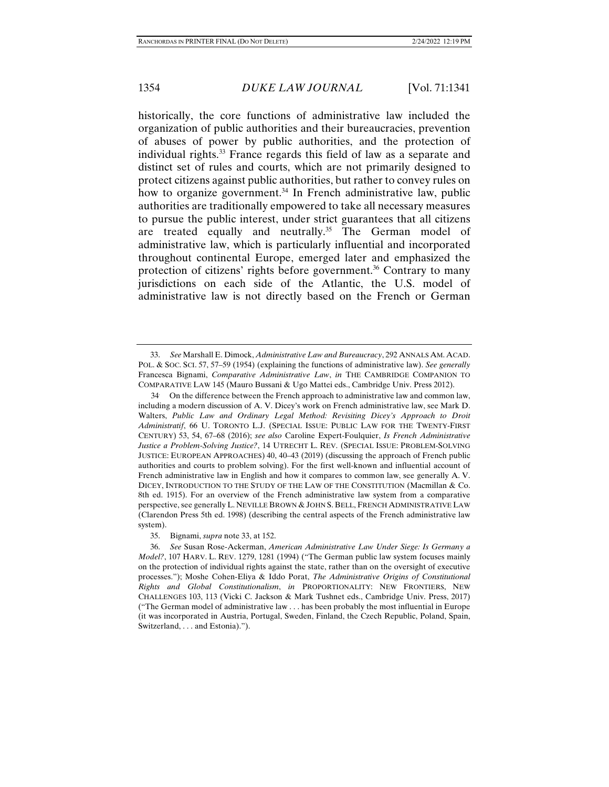historically, the core functions of administrative law included the organization of public authorities and their bureaucracies, prevention of abuses of power by public authorities, and the protection of individual rights.33 France regards this field of law as a separate and distinct set of rules and courts, which are not primarily designed to protect citizens against public authorities, but rather to convey rules on how to organize government.<sup>34</sup> In French administrative law, public authorities are traditionally empowered to take all necessary measures to pursue the public interest, under strict guarantees that all citizens are treated equally and neutrally.<sup>35</sup> The German model of administrative law, which is particularly influential and incorporated throughout continental Europe, emerged later and emphasized the protection of citizens' rights before government.<sup>36</sup> Contrary to many jurisdictions on each side of the Atlantic, the U.S. model of administrative law is not directly based on the French or German

 <sup>33.</sup> *See* Marshall E. Dimock, *Administrative Law and Bureaucracy*, 292 ANNALS AM. ACAD. POL. & SOC. SCI. 57, 57–59 (1954) (explaining the functions of administrative law). *See generally* Francesca Bignami, *Comparative Administrative Law*, *in* THE CAMBRIDGE COMPANION TO COMPARATIVE LAW 145 (Mauro Bussani & Ugo Mattei eds., Cambridge Univ. Press 2012).

<sup>34.</sup> On the difference between the French approach to administrative law and common law, including a modern discussion of A. V. Dicey's work on French administrative law, see Mark D. Walters, *Public Law and Ordinary Legal Method: Revisiting Dicey's Approach to Droit Administratif*, 66 U. TORONTO L.J. (SPECIAL ISSUE: PUBLIC LAW FOR THE TWENTY-FIRST CENTURY) 53, 54, 67–68 (2016); *see also* Caroline Expert-Foulquier, *Is French Administrative Justice a Problem-Solving Justice?*, 14 UTRECHT L. REV. (SPECIAL ISSUE: PROBLEM-SOLVING JUSTICE: EUROPEAN APPROACHES) 40, 40–43 (2019) (discussing the approach of French public authorities and courts to problem solving). For the first well-known and influential account of French administrative law in English and how it compares to common law, see generally A. V. DICEY, INTRODUCTION TO THE STUDY OF THE LAW OF THE CONSTITUTION (Macmillan & Co. 8th ed. 1915). For an overview of the French administrative law system from a comparative perspective, see generally L. NEVILLE BROWN & JOHN S. BELL, FRENCH ADMINISTRATIVE LAW (Clarendon Press 5th ed. 1998) (describing the central aspects of the French administrative law system).

 <sup>35.</sup> Bignami, *supra* note 33, at 152.

 <sup>36.</sup> *See* Susan Rose-Ackerman, *American Administrative Law Under Siege: Is Germany a Model?*, 107 HARV. L. REV. 1279, 1281 (1994) ("The German public law system focuses mainly on the protection of individual rights against the state, rather than on the oversight of executive processes."); Moshe Cohen-Eliya & Iddo Porat, *The Administrative Origins of Constitutional Rights and Global Constitutionalism*, *in* PROPORTIONALITY: NEW FRONTIERS, NEW CHALLENGES 103, 113 (Vicki C. Jackson & Mark Tushnet eds., Cambridge Univ. Press, 2017) ("The German model of administrative law . . . has been probably the most influential in Europe (it was incorporated in Austria, Portugal, Sweden, Finland, the Czech Republic, Poland, Spain, Switzerland, . . . and Estonia).").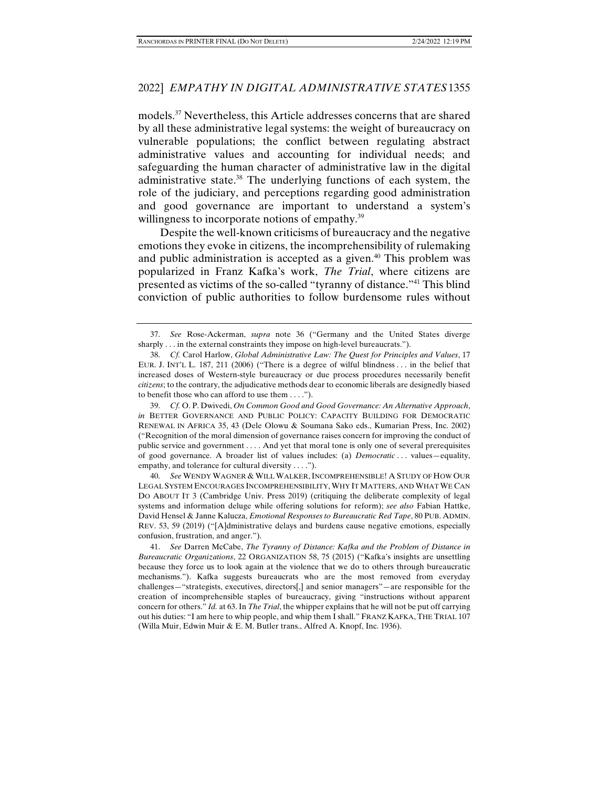## 2022] *EMPATHY IN DIGITAL ADMINISTRATIVE STATES* 1355

models.37 Nevertheless, this Article addresses concerns that are shared by all these administrative legal systems: the weight of bureaucracy on vulnerable populations; the conflict between regulating abstract administrative values and accounting for individual needs; and safeguarding the human character of administrative law in the digital administrative state.38 The underlying functions of each system, the role of the judiciary, and perceptions regarding good administration and good governance are important to understand a system's willingness to incorporate notions of empathy.<sup>39</sup>

Despite the well-known criticisms of bureaucracy and the negative emotions they evoke in citizens, the incomprehensibility of rulemaking and public administration is accepted as a given.<sup>40</sup> This problem was popularized in Franz Kafka's work, *The Trial*, where citizens are presented as victims of the so-called "tyranny of distance."41 This blind conviction of public authorities to follow burdensome rules without

 40. *See* WENDY WAGNER & WILL WALKER,INCOMPREHENSIBLE! A STUDY OF HOW OUR LEGAL SYSTEM ENCOURAGES INCOMPREHENSIBILITY, WHY IT MATTERS, AND WHAT WE CAN DO ABOUT IT 3 (Cambridge Univ. Press 2019) (critiquing the deliberate complexity of legal systems and information deluge while offering solutions for reform); *see also* Fabian Hattke, David Hensel & Janne Kalucza, *Emotional Responses to Bureaucratic Red Tape*, 80 PUB. ADMIN. REV. 53, 59 (2019) ("[A]dministrative delays and burdens cause negative emotions, especially confusion, frustration, and anger.").

 <sup>37.</sup> *See* Rose-Ackerman, *supra* note 36 ("Germany and the United States diverge sharply . . . in the external constraints they impose on high-level bureaucrats.").

 <sup>38.</sup> *Cf.* Carol Harlow, *Global Administrative Law: The Quest for Principles and Values*, 17 EUR. J. INT'L L. 187, 211 (2006) ("There is a degree of wilful blindness . . . in the belief that increased doses of Western-style bureaucracy or due process procedures necessarily benefit *citizens*; to the contrary, the adjudicative methods dear to economic liberals are designedly biased to benefit those who can afford to use them . . . .").

 <sup>39.</sup> *Cf.* O. P. Dwivedi, *On Common Good and Good Governance: An Alternative Approach*, *in* BETTER GOVERNANCE AND PUBLIC POLICY: CAPACITY BUILDING FOR DEMOCRATIC RENEWAL IN AFRICA 35, 43 (Dele Olowu & Soumana Sako eds., Kumarian Press, Inc. 2002) ("Recognition of the moral dimension of governance raises concern for improving the conduct of public service and government . . . . And yet that moral tone is only one of several prerequisites of good governance. A broader list of values includes: (a) *Democratic* . . . values—equality, empathy, and tolerance for cultural diversity . . . .").

 <sup>41.</sup> *See* Darren McCabe, *The Tyranny of Distance: Kafka and the Problem of Distance in Bureaucratic Organizations*, 22 ORGANIZATION 58, 75 (2015) ("Kafka's insights are unsettling because they force us to look again at the violence that we do to others through bureaucratic mechanisms."). Kafka suggests bureaucrats who are the most removed from everyday challenges—"strategists, executives, directors[,] and senior managers"—are responsible for the creation of incomprehensible staples of bureaucracy, giving "instructions without apparent concern for others." *Id.* at 63. In *The Trial*, the whipper explains that he will not be put off carrying out his duties: "I am here to whip people, and whip them I shall." FRANZ KAFKA, THE TRIAL 107 (Willa Muir, Edwin Muir & E. M. Butler trans., Alfred A. Knopf, Inc. 1936).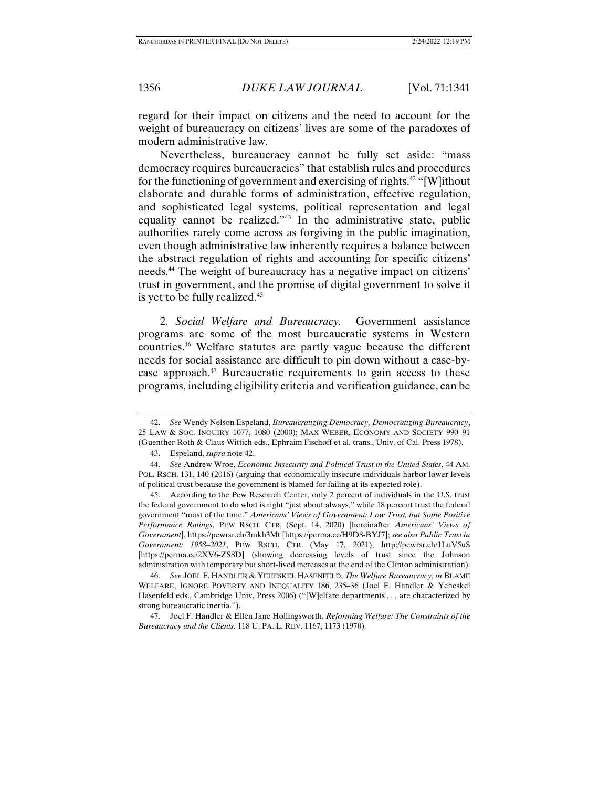regard for their impact on citizens and the need to account for the weight of bureaucracy on citizens' lives are some of the paradoxes of modern administrative law.

Nevertheless, bureaucracy cannot be fully set aside: "mass democracy requires bureaucracies" that establish rules and procedures for the functioning of government and exercising of rights.<sup>42</sup> "[W]ithout elaborate and durable forms of administration, effective regulation, and sophisticated legal systems, political representation and legal equality cannot be realized."43 In the administrative state, public authorities rarely come across as forgiving in the public imagination, even though administrative law inherently requires a balance between the abstract regulation of rights and accounting for specific citizens' needs.44 The weight of bureaucracy has a negative impact on citizens' trust in government, and the promise of digital government to solve it is yet to be fully realized.<sup>45</sup>

2. *Social Welfare and Bureaucracy.* Government assistance programs are some of the most bureaucratic systems in Western countries.46 Welfare statutes are partly vague because the different needs for social assistance are difficult to pin down without a case-bycase approach.<sup>47</sup> Bureaucratic requirements to gain access to these programs, including eligibility criteria and verification guidance, can be

 46. *See* JOEL F. HANDLER & YEHESKEL HASENFELD, *The Welfare Bureaucracy*, *in* BLAME WELFARE, IGNORE POVERTY AND INEQUALITY 186, 235–36 (Joel F. Handler & Yeheskel Hasenfeld eds., Cambridge Univ. Press 2006) ("[W]elfare departments . . . are characterized by strong bureaucratic inertia.").

 <sup>42.</sup> *See* Wendy Nelson Espeland, *Bureaucratizing Democracy, Democratizing Bureaucracy*, 25 LAW & SOC. INQUIRY 1077, 1080 (2000); MAX WEBER, ECONOMY AND SOCIETY 990–91 (Guenther Roth & Claus Wittich eds., Ephraim Fischoff et al. trans., Univ. of Cal. Press 1978).

 <sup>43.</sup> Espeland, *supra* note 42.

 <sup>44.</sup> *See* Andrew Wroe, *Economic Insecurity and Political Trust in the United States*, 44 AM. POL. RSCH. 131, 140 (2016) (arguing that economically insecure individuals harbor lower levels of political trust because the government is blamed for failing at its expected role).

According to the Pew Research Center, only 2 percent of individuals in the U.S. trust the federal government to do what is right "just about always," while 18 percent trust the federal government "most of the time." *Americans' Views of Government: Low Trust, but Some Positive Performance Ratings*, PEW RSCH. CTR. (Sept. 14, 2020) [hereinafter *Americans' Views of Government*], https://pewrsr.ch/3mkh3Mt [https://perma.cc/H9D8-BYJ7]; *see also Public Trust in Government: 1958–2021*, PEW RSCH. CTR. (May 17, 2021), http://pewrsr.ch/1LuV5uS [https://perma.cc/2XV6-ZS8D] (showing decreasing levels of trust since the Johnson administration with temporary but short-lived increases at the end of the Clinton administration).

 <sup>47.</sup> Joel F. Handler & Ellen Jane Hollingsworth, *Reforming Welfare: The Constraints of the Bureaucracy and the Clients*, 118 U. PA. L. REV. 1167, 1173 (1970).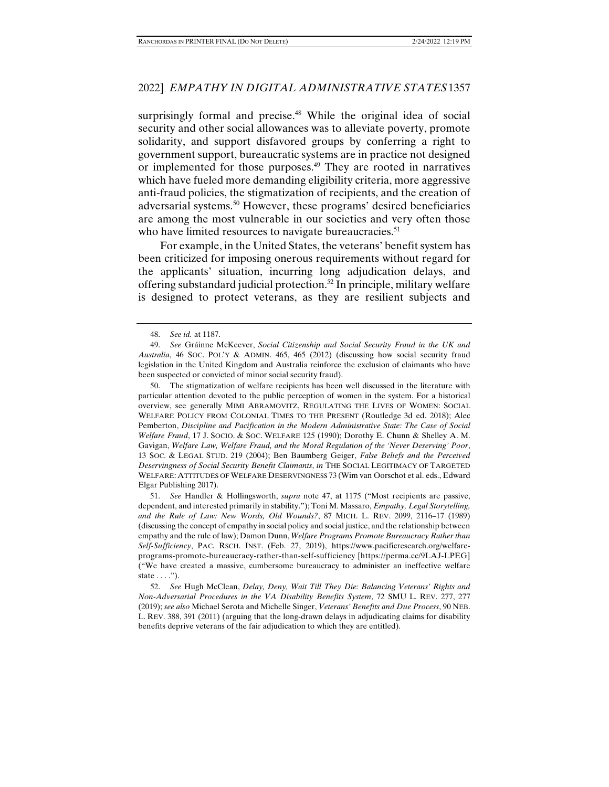# 2022] *EMPATHY IN DIGITAL ADMINISTRATIVE STATES* 1357

surprisingly formal and precise.<sup>48</sup> While the original idea of social security and other social allowances was to alleviate poverty, promote solidarity, and support disfavored groups by conferring a right to government support, bureaucratic systems are in practice not designed or implemented for those purposes.<sup>49</sup> They are rooted in narratives which have fueled more demanding eligibility criteria, more aggressive anti-fraud policies, the stigmatization of recipients, and the creation of adversarial systems.50 However, these programs' desired beneficiaries are among the most vulnerable in our societies and very often those who have limited resources to navigate bureaucracies.<sup>51</sup>

For example, in the United States, the veterans' benefit system has been criticized for imposing onerous requirements without regard for the applicants' situation, incurring long adjudication delays, and offering substandard judicial protection.52 In principle, military welfare is designed to protect veterans, as they are resilient subjects and

 50. The stigmatization of welfare recipients has been well discussed in the literature with particular attention devoted to the public perception of women in the system. For a historical overview, see generally MIMI ABRAMOVITZ, REGULATING THE LIVES OF WOMEN: SOCIAL WELFARE POLICY FROM COLONIAL TIMES TO THE PRESENT (Routledge 3d ed. 2018); Alec Pemberton, *Discipline and Pacification in the Modern Administrative State: The Case of Social Welfare Fraud*, 17 J. SOCIO. & SOC. WELFARE 125 (1990); Dorothy E. Chunn & Shelley A. M. Gavigan, *Welfare Law, Welfare Fraud, and the Moral Regulation of the 'Never Deserving' Poor*, 13 SOC. & LEGAL STUD. 219 (2004); Ben Baumberg Geiger, *False Beliefs and the Perceived Deservingness of Social Security Benefit Claimants*, *in* THE SOCIAL LEGITIMACY OF TARGETED WELFARE: ATTITUDES OF WELFARE DESERVINGNESS 73 (Wim van Oorschot et al. eds., Edward Elgar Publishing 2017).

 51. *See* Handler & Hollingsworth, *supra* note 47, at 1175 ("Most recipients are passive, dependent, and interested primarily in stability."); Toni M. Massaro, *Empathy, Legal Storytelling, and the Rule of Law: New Words, Old Wounds?*, 87 MICH. L. REV. 2099, 2116–17 (1989) (discussing the concept of empathy in social policy and social justice, and the relationship between empathy and the rule of law); Damon Dunn, *Welfare Programs Promote Bureaucracy Rather than Self-Sufficiency*, PAC. RSCH. INST. (Feb. 27, 2019), https://www.pacificresearch.org/welfareprograms-promote-bureaucracy-rather-than-self-sufficiency [https://perma.cc/9LAJ-LPEG] ("We have created a massive, cumbersome bureaucracy to administer an ineffective welfare state  $\dots$ .").

 52. *See* Hugh McClean, *Delay, Deny, Wait Till They Die: Balancing Veterans' Rights and Non-Adversarial Procedures in the VA Disability Benefits System*, 72 SMU L. REV. 277, 277 (2019); *see also* Michael Serota and Michelle Singer, *Veterans' Benefits and Due Process*, 90 NEB. L. REV. 388, 391 (2011) (arguing that the long-drawn delays in adjudicating claims for disability benefits deprive veterans of the fair adjudication to which they are entitled).

 <sup>48.</sup> *See id.* at 1187.

 <sup>49.</sup> *See* Gráinne McKeever, *Social Citizenship and Social Security Fraud in the UK and Australia*, 46 SOC. POL'Y & ADMIN. 465, 465 (2012) (discussing how social security fraud legislation in the United Kingdom and Australia reinforce the exclusion of claimants who have been suspected or convicted of minor social security fraud).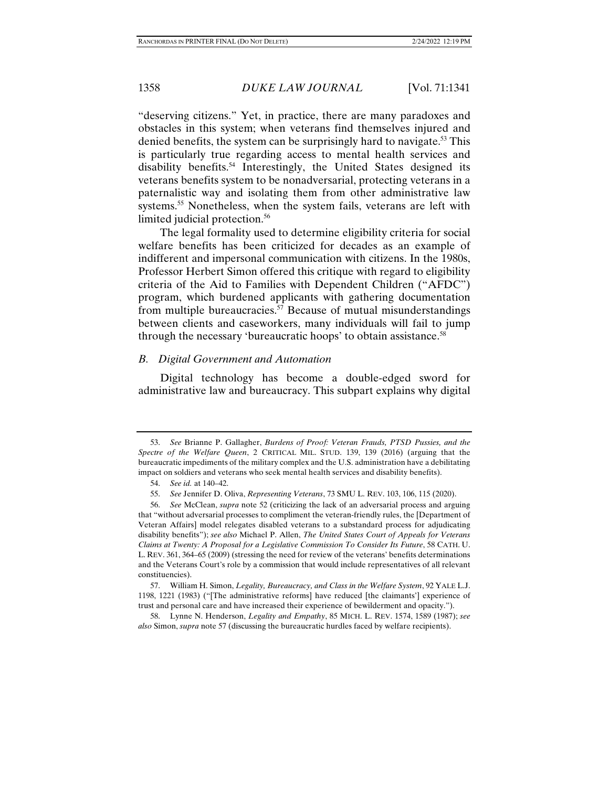"deserving citizens." Yet, in practice, there are many paradoxes and obstacles in this system; when veterans find themselves injured and denied benefits, the system can be surprisingly hard to navigate.<sup>53</sup> This is particularly true regarding access to mental health services and disability benefits.<sup>54</sup> Interestingly, the United States designed its veterans benefits system to be nonadversarial, protecting veterans in a paternalistic way and isolating them from other administrative law systems.<sup>55</sup> Nonetheless, when the system fails, veterans are left with limited judicial protection.<sup>56</sup>

The legal formality used to determine eligibility criteria for social welfare benefits has been criticized for decades as an example of indifferent and impersonal communication with citizens. In the 1980s, Professor Herbert Simon offered this critique with regard to eligibility criteria of the Aid to Families with Dependent Children ("AFDC") program, which burdened applicants with gathering documentation from multiple bureaucracies.<sup>57</sup> Because of mutual misunderstandings between clients and caseworkers, many individuals will fail to jump through the necessary 'bureaucratic hoops' to obtain assistance.<sup>58</sup>

## *B. Digital Government and Automation*

Digital technology has become a double-edged sword for administrative law and bureaucracy. This subpart explains why digital

 <sup>53.</sup> *See* Brianne P. Gallagher, *Burdens of Proof: Veteran Frauds, PTSD Pussies, and the Spectre of the Welfare Queen*, 2 CRITICAL MIL. STUD. 139, 139 (2016) (arguing that the bureaucratic impediments of the military complex and the U.S. administration have a debilitating impact on soldiers and veterans who seek mental health services and disability benefits).

 <sup>54.</sup> *See id.* at 140–42.

 <sup>55.</sup> *See* Jennifer D. Oliva, *Representing Veterans*, 73 SMU L. REV. 103, 106, 115 (2020).

 <sup>56.</sup> *See* McClean, *supra* note 52 (criticizing the lack of an adversarial process and arguing that "without adversarial processes to compliment the veteran-friendly rules, the [Department of Veteran Affairs] model relegates disabled veterans to a substandard process for adjudicating disability benefits"); *see also* Michael P. Allen, *The United States Court of Appeals for Veterans Claims at Twenty: A Proposal for a Legislative Commission To Consider Its Future*, 58 CATH. U. L. REV. 361, 364–65 (2009) (stressing the need for review of the veterans' benefits determinations and the Veterans Court's role by a commission that would include representatives of all relevant constituencies).

 <sup>57.</sup> William H. Simon, *Legality, Bureaucracy, and Class in the Welfare System*, 92 YALE L.J. 1198, 1221 (1983) ("[The administrative reforms] have reduced [the claimants'] experience of trust and personal care and have increased their experience of bewilderment and opacity.").

 <sup>58.</sup> Lynne N. Henderson, *Legality and Empathy*, 85 MICH. L. REV. 1574, 1589 (1987); *see also* Simon, *supra* note 57 (discussing the bureaucratic hurdles faced by welfare recipients).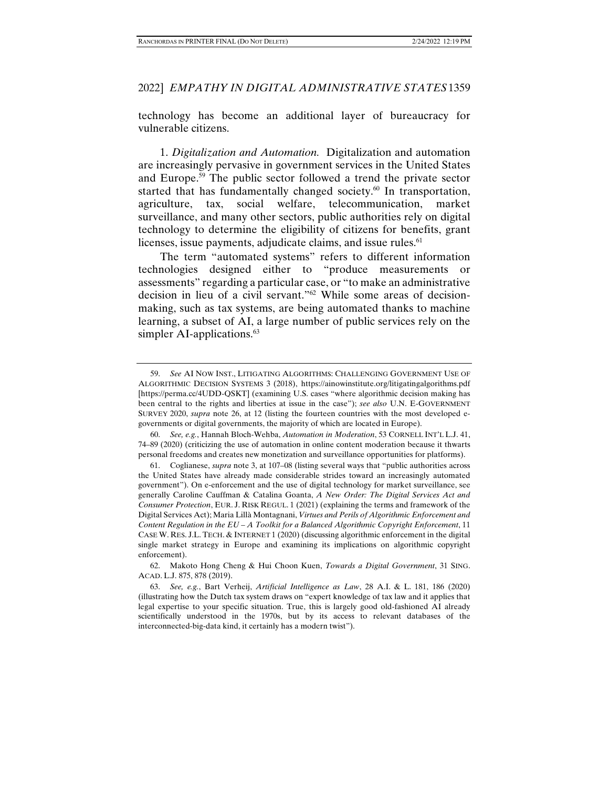technology has become an additional layer of bureaucracy for vulnerable citizens.

1. *Digitalization and Automation.* Digitalization and automation are increasingly pervasive in government services in the United States and Europe.59 The public sector followed a trend the private sector started that has fundamentally changed society. $60$  In transportation, agriculture, tax, social welfare, telecommunication, market surveillance, and many other sectors, public authorities rely on digital technology to determine the eligibility of citizens for benefits, grant licenses, issue payments, adjudicate claims, and issue rules.<sup>61</sup>

The term "automated systems" refers to different information technologies designed either to "produce measurements or assessments" regarding a particular case, or "to make an administrative decision in lieu of a civil servant."62 While some areas of decisionmaking, such as tax systems, are being automated thanks to machine learning, a subset of AI, a large number of public services rely on the simpler AI-applications.<sup>63</sup>

 62. Makoto Hong Cheng & Hui Choon Kuen, *Towards a Digital Government*, 31 SING. ACAD. L.J. 875, 878 (2019).

 <sup>59.</sup> *See* AI NOW INST., LITIGATING ALGORITHMS: CHALLENGING GOVERNMENT USE OF ALGORITHMIC DECISION SYSTEMS 3 (2018), https://ainowinstitute.org/litigatingalgorithms.pdf [https://perma.cc/4UDD-QSKT] (examining U.S. cases "where algorithmic decision making has been central to the rights and liberties at issue in the case"); *see also* U.N. E-GOVERNMENT SURVEY 2020, *supra* note 26, at 12 (listing the fourteen countries with the most developed egovernments or digital governments, the majority of which are located in Europe).

 <sup>60.</sup> *See, e.g.*, Hannah Bloch-Wehba, *Automation in Moderation*, 53 CORNELL INT'L L.J. 41, 74–89 (2020) (criticizing the use of automation in online content moderation because it thwarts personal freedoms and creates new monetization and surveillance opportunities for platforms).

 <sup>61.</sup> Coglianese, *supra* note 3, at 107–08 (listing several ways that "public authorities across the United States have already made considerable strides toward an increasingly automated government"). On e-enforcement and the use of digital technology for market surveillance, see generally Caroline Cauffman & Catalina Goanta, *A New Order: The Digital Services Act and Consumer Protection*, EUR. J. RISK REGUL. 1 (2021) (explaining the terms and framework of the Digital Services Act); Maria Lillà Montagnani, *Virtues and Perils of Algorithmic Enforcement and Content Regulation in the EU – A Toolkit for a Balanced Algorithmic Copyright Enforcement*, 11 CASE W. RES. J.L. TECH. & INTERNET 1 (2020) (discussing algorithmic enforcement in the digital single market strategy in Europe and examining its implications on algorithmic copyright enforcement).

 <sup>63.</sup> *See, e.g.*, Bart Verheij, *Artificial Intelligence as Law*, 28 A.I. & L. 181, 186 (2020) (illustrating how the Dutch tax system draws on "expert knowledge of tax law and it applies that legal expertise to your specific situation. True, this is largely good old-fashioned AI already scientifically understood in the 1970s, but by its access to relevant databases of the interconnected-big-data kind, it certainly has a modern twist").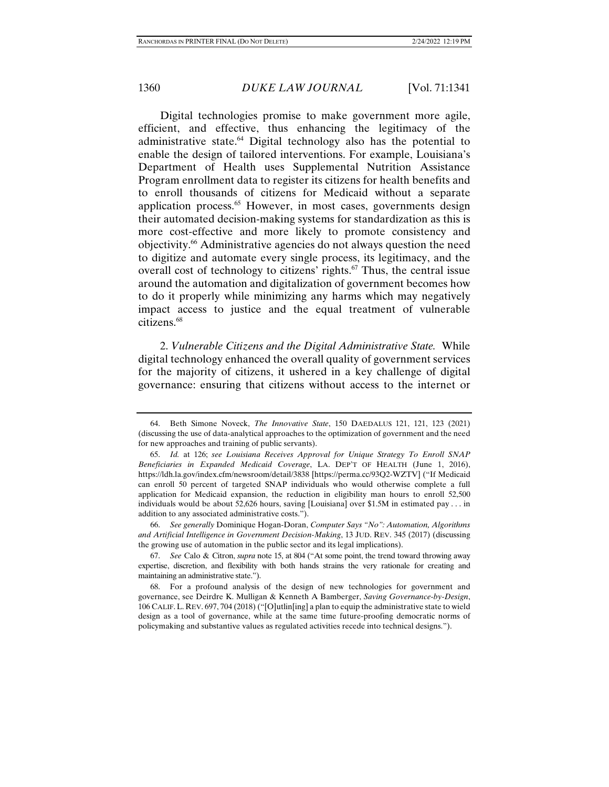Digital technologies promise to make government more agile, efficient, and effective, thus enhancing the legitimacy of the administrative state.<sup>64</sup> Digital technology also has the potential to enable the design of tailored interventions. For example, Louisiana's Department of Health uses Supplemental Nutrition Assistance Program enrollment data to register its citizens for health benefits and to enroll thousands of citizens for Medicaid without a separate application process.<sup>65</sup> However, in most cases, governments design their automated decision-making systems for standardization as this is more cost-effective and more likely to promote consistency and objectivity.66 Administrative agencies do not always question the need to digitize and automate every single process, its legitimacy, and the overall cost of technology to citizens' rights. $67$  Thus, the central issue around the automation and digitalization of government becomes how to do it properly while minimizing any harms which may negatively impact access to justice and the equal treatment of vulnerable citizens.68

2. *Vulnerable Citizens and the Digital Administrative State.* While digital technology enhanced the overall quality of government services for the majority of citizens, it ushered in a key challenge of digital governance: ensuring that citizens without access to the internet or

 66. *See generally* Dominique Hogan-Doran, *Computer Says "No": Automation, Algorithms and Artificial Intelligence in Government Decision-Making*, 13 JUD. REV. 345 (2017) (discussing the growing use of automation in the public sector and its legal implications).

 67. *See* Calo & Citron, *supra* note 15, at 804 ("At some point, the trend toward throwing away expertise, discretion, and flexibility with both hands strains the very rationale for creating and maintaining an administrative state.").

 <sup>64.</sup> Beth Simone Noveck, *The Innovative State*, 150 DAEDALUS 121, 121, 123 (2021) (discussing the use of data-analytical approaches to the optimization of government and the need for new approaches and training of public servants).

 <sup>65.</sup> *Id.* at 126; *see Louisiana Receives Approval for Unique Strategy To Enroll SNAP Beneficiaries in Expanded Medicaid Coverage*, LA. DEP'T OF HEALTH (June 1, 2016), https://ldh.la.gov/index.cfm/newsroom/detail/3838 [https://perma.cc/93Q2-WZTV] ("If Medicaid can enroll 50 percent of targeted SNAP individuals who would otherwise complete a full application for Medicaid expansion, the reduction in eligibility man hours to enroll 52,500 individuals would be about 52,626 hours, saving [Louisiana] over \$1.5M in estimated pay . . . in addition to any associated administrative costs.").

 <sup>68.</sup> For a profound analysis of the design of new technologies for government and governance, see Deirdre K. Mulligan & Kenneth A Bamberger, *Saving Governance-by-Design*, 106 CALIF.L. REV. 697, 704 (2018) ("[O]utlin[ing] a plan to equip the administrative state to wield design as a tool of governance, while at the same time future-proofing democratic norms of policymaking and substantive values as regulated activities recede into technical designs.").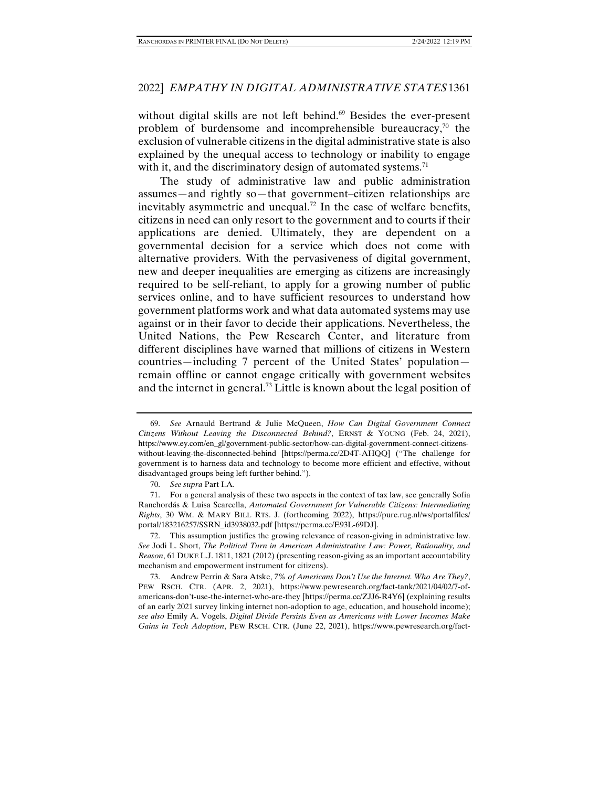without digital skills are not left behind.<sup>69</sup> Besides the ever-present problem of burdensome and incomprehensible bureaucracy, $\frac{70}{10}$  the exclusion of vulnerable citizens in the digital administrative state is also explained by the unequal access to technology or inability to engage with it, and the discriminatory design of automated systems.<sup>71</sup>

The study of administrative law and public administration assumes—and rightly so—that government–citizen relationships are inevitably asymmetric and unequal.<sup>72</sup> In the case of welfare benefits, citizens in need can only resort to the government and to courts if their applications are denied. Ultimately, they are dependent on a governmental decision for a service which does not come with alternative providers. With the pervasiveness of digital government, new and deeper inequalities are emerging as citizens are increasingly required to be self-reliant, to apply for a growing number of public services online, and to have sufficient resources to understand how government platforms work and what data automated systems may use against or in their favor to decide their applications. Nevertheless, the United Nations, the Pew Research Center, and literature from different disciplines have warned that millions of citizens in Western countries—including 7 percent of the United States' population remain offline or cannot engage critically with government websites and the internet in general.73 Little is known about the legal position of

 72. This assumption justifies the growing relevance of reason-giving in administrative law. *See* Jodi L. Short, *The Political Turn in American Administrative Law: Power, Rationality, and Reason*, 61 DUKE L.J. 1811, 1821 (2012) (presenting reason-giving as an important accountability mechanism and empowerment instrument for citizens).

 <sup>69.</sup> *See* Arnauld Bertrand & Julie McQueen, *How Can Digital Government Connect Citizens Without Leaving the Disconnected Behind?*, ERNST & YOUNG (Feb. 24, 2021), https://www.ey.com/en\_gl/government-public-sector/how-can-digital-government-connect-citizenswithout-leaving-the-disconnected-behind [https://perma.cc/2D4T-AHQQ] ("The challenge for government is to harness data and technology to become more efficient and effective, without disadvantaged groups being left further behind.").

 <sup>70.</sup> *See supra* Part I.A.

 <sup>71.</sup> For a general analysis of these two aspects in the context of tax law, see generally Sofia Ranchordás & Luisa Scarcella, *Automated Government for Vulnerable Citizens: Intermediating Rights*, 30 WM. & MARY BILL RTS. J. (forthcoming 2022), https://pure.rug.nl/ws/portalfiles/ portal/183216257/SSRN\_id3938032.pdf [https://perma.cc/E93L-69DJ].

 <sup>73.</sup> Andrew Perrin & Sara Atske, *7% of Americans Don't Use the Internet. Who Are They?*, PEW RSCH. CTR. (APR. 2, 2021), https://www.pewresearch.org/fact-tank/2021/04/02/7-ofamericans-don't-use-the-internet-who-are-they [https://perma.cc/ZJJ6-R4Y6] (explaining results of an early 2021 survey linking internet non-adoption to age, education, and household income); *see also* Emily A. Vogels, *Digital Divide Persists Even as Americans with Lower Incomes Make Gains in Tech Adoption*, PEW RSCH. CTR. (June 22, 2021), https://www.pewresearch.org/fact-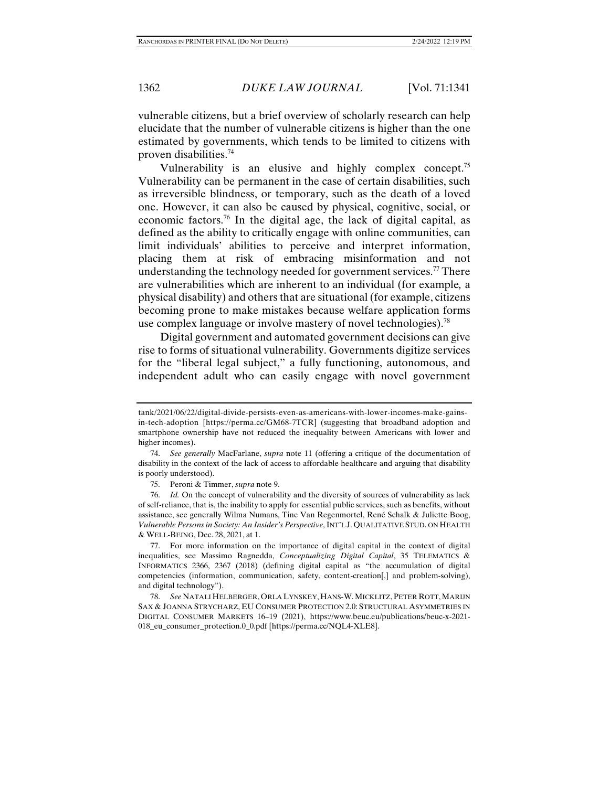vulnerable citizens, but a brief overview of scholarly research can help elucidate that the number of vulnerable citizens is higher than the one estimated by governments, which tends to be limited to citizens with proven disabilities.74

Vulnerability is an elusive and highly complex concept.<sup>75</sup> Vulnerability can be permanent in the case of certain disabilities, such as irreversible blindness, or temporary, such as the death of a loved one. However, it can also be caused by physical, cognitive, social, or economic factors.<sup>76</sup> In the digital age, the lack of digital capital, as defined as the ability to critically engage with online communities, can limit individuals' abilities to perceive and interpret information, placing them at risk of embracing misinformation and not understanding the technology needed for government services.<sup>77</sup> There are vulnerabilities which are inherent to an individual (for example*,* a physical disability) and others that are situational (for example, citizens becoming prone to make mistakes because welfare application forms use complex language or involve mastery of novel technologies).78

Digital government and automated government decisions can give rise to forms of situational vulnerability. Governments digitize services for the "liberal legal subject," a fully functioning, autonomous, and independent adult who can easily engage with novel government

tank/2021/06/22/digital-divide-persists-even-as-americans-with-lower-incomes-make-gainsin-tech-adoption [https://perma.cc/GM68-7TCR] (suggesting that broadband adoption and smartphone ownership have not reduced the inequality between Americans with lower and higher incomes).

 <sup>74.</sup> *See generally* MacFarlane, *supra* note 11 (offering a critique of the documentation of disability in the context of the lack of access to affordable healthcare and arguing that disability is poorly understood).

 <sup>75.</sup> Peroni & Timmer, *supra* note 9.

 <sup>76.</sup> *Id.* On the concept of vulnerability and the diversity of sources of vulnerability as lack of self-reliance, that is, the inability to apply for essential public services, such as benefits, without assistance, see generally Wilma Numans, Tine Van Regenmortel, René Schalk & Juliette Boog, *Vulnerable Persons in Society: An Insider's Perspective*, INT'L J. QUALITATIVE STUD. ON HEALTH & WELL-BEING, Dec. 28, 2021, at 1.

 <sup>77.</sup> For more information on the importance of digital capital in the context of digital inequalities, see Massimo Ragnedda, *Conceptualizing Digital Capital*, 35 TELEMATICS & INFORMATICS 2366, 2367 (2018) (defining digital capital as "the accumulation of digital competencies (information, communication, safety, content-creation[,] and problem-solving), and digital technology").

 <sup>78.</sup> *See* NATALI HELBERGER, ORLA LYNSKEY, HANS-W.MICKLITZ, PETER ROTT,MARIJN SAX & JOANNA STRYCHARZ, EU CONSUMER PROTECTION 2.0: STRUCTURAL ASYMMETRIES IN DIGITAL CONSUMER MARKETS 16–19 (2021), https://www.beuc.eu/publications/beuc-x-2021- 018\_eu\_consumer\_protection.0\_0.pdf [https://perma.cc/NQL4-XLE8].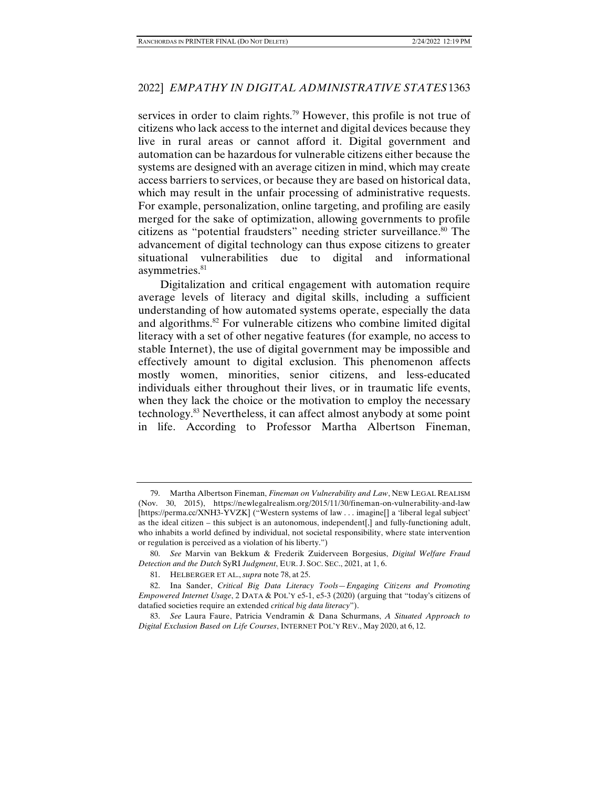services in order to claim rights.<sup>79</sup> However, this profile is not true of citizens who lack access to the internet and digital devices because they live in rural areas or cannot afford it. Digital government and automation can be hazardous for vulnerable citizens either because the systems are designed with an average citizen in mind, which may create access barriers to services, or because they are based on historical data, which may result in the unfair processing of administrative requests. For example, personalization, online targeting, and profiling are easily merged for the sake of optimization, allowing governments to profile citizens as "potential fraudsters" needing stricter surveillance.80 The advancement of digital technology can thus expose citizens to greater situational vulnerabilities due to digital and informational asymmetries.<sup>81</sup>

Digitalization and critical engagement with automation require average levels of literacy and digital skills, including a sufficient understanding of how automated systems operate, especially the data and algorithms.82 For vulnerable citizens who combine limited digital literacy with a set of other negative features (for example*,* no access to stable Internet), the use of digital government may be impossible and effectively amount to digital exclusion. This phenomenon affects mostly women, minorities, senior citizens, and less-educated individuals either throughout their lives, or in traumatic life events, when they lack the choice or the motivation to employ the necessary technology.83 Nevertheless, it can affect almost anybody at some point in life. According to Professor Martha Albertson Fineman,

 <sup>79.</sup> Martha Albertson Fineman, *Fineman on Vulnerability and Law*, NEW LEGAL REALISM (Nov. 30, 2015), https://newlegalrealism.org/2015/11/30/fineman-on-vulnerability-and-law [https://perma.cc/XNH3-YVZK] ("Western systems of law . . . imagine]] a 'liberal legal subject' as the ideal citizen – this subject is an autonomous, independent[,] and fully-functioning adult, who inhabits a world defined by individual, not societal responsibility, where state intervention or regulation is perceived as a violation of his liberty.")

 <sup>80.</sup> *See* Marvin van Bekkum & Frederik Zuiderveen Borgesius, *Digital Welfare Fraud Detection and the Dutch* SyRI *Judgment*, EUR. J. SOC. SEC., 2021, at 1, 6.

 <sup>81.</sup> HELBERGER ET AL., *supra* note 78, at 25.

 <sup>82.</sup> Ina Sander, *Critical Big Data Literacy Tools—Engaging Citizens and Promoting Empowered Internet Usage*, 2 DATA & POL'Y e5-1, e5-3 (2020) (arguing that "today's citizens of datafied societies require an extended *critical big data literacy*").

 <sup>83.</sup> *See* Laura Faure, Patricia Vendramin & Dana Schurmans, *A Situated Approach to Digital Exclusion Based on Life Courses*, INTERNET POL'Y REV., May 2020, at 6, 12.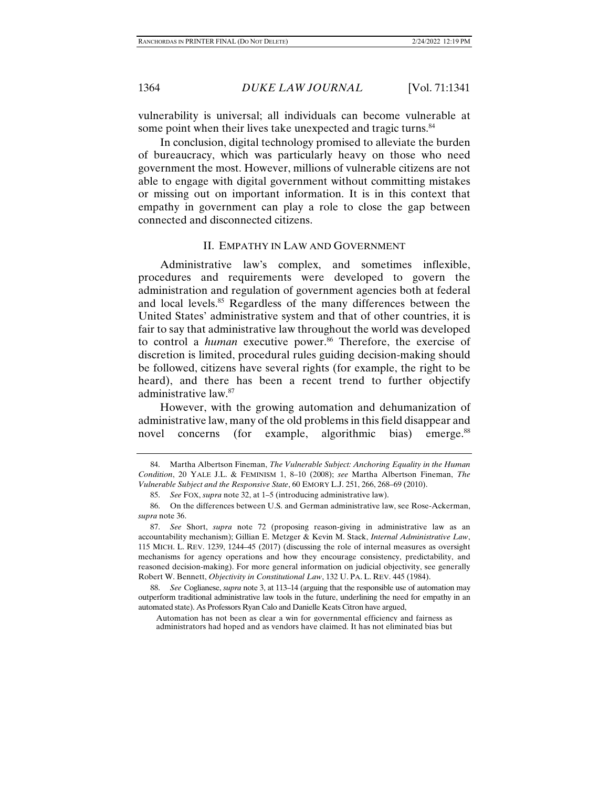vulnerability is universal; all individuals can become vulnerable at some point when their lives take unexpected and tragic turns.<sup>84</sup>

In conclusion, digital technology promised to alleviate the burden of bureaucracy, which was particularly heavy on those who need government the most. However, millions of vulnerable citizens are not able to engage with digital government without committing mistakes or missing out on important information. It is in this context that empathy in government can play a role to close the gap between connected and disconnected citizens.

## II. EMPATHY IN LAW AND GOVERNMENT

Administrative law's complex, and sometimes inflexible, procedures and requirements were developed to govern the administration and regulation of government agencies both at federal and local levels.85 Regardless of the many differences between the United States' administrative system and that of other countries, it is fair to say that administrative law throughout the world was developed to control a *human* executive power.<sup>86</sup> Therefore, the exercise of discretion is limited, procedural rules guiding decision-making should be followed, citizens have several rights (for example, the right to be heard), and there has been a recent trend to further objectify administrative law.87

However, with the growing automation and dehumanization of administrative law, many of the old problems in this field disappear and novel concerns (for example, algorithmic bias) emerge.<sup>88</sup>

 88. *See* Coglianese, *supra* note 3, at 113–14 (arguing that the responsible use of automation may outperform traditional administrative law tools in the future, underlining the need for empathy in an automated state). As Professors Ryan Calo and Danielle Keats Citron have argued,

Automation has not been as clear a win for governmental efficiency and fairness as administrators had hoped and as vendors have claimed. It has not eliminated bias but

 <sup>84.</sup> Martha Albertson Fineman, *The Vulnerable Subject: Anchoring Equality in the Human Condition*, 20 YALE J.L. & FEMINISM 1, 8–10 (2008); *see* Martha Albertson Fineman, *The Vulnerable Subject and the Responsive State*, 60 EMORY L.J. 251, 266, 268–69 (2010).

 <sup>85.</sup> *See* FOX, *supra* note 32, at 1–5 (introducing administrative law).

 <sup>86.</sup> On the differences between U.S. and German administrative law, see Rose-Ackerman, *supra* note 36.

 <sup>87.</sup> *See* Short, *supra* note 72 (proposing reason-giving in administrative law as an accountability mechanism); Gillian E. Metzger & Kevin M. Stack, *Internal Administrative Law*, 115 MICH. L. REV. 1239, 1244–45 (2017) (discussing the role of internal measures as oversight mechanisms for agency operations and how they encourage consistency, predictability, and reasoned decision-making). For more general information on judicial objectivity, see generally Robert W. Bennett, *Objectivity in Constitutional Law*, 132 U. PA. L. REV. 445 (1984).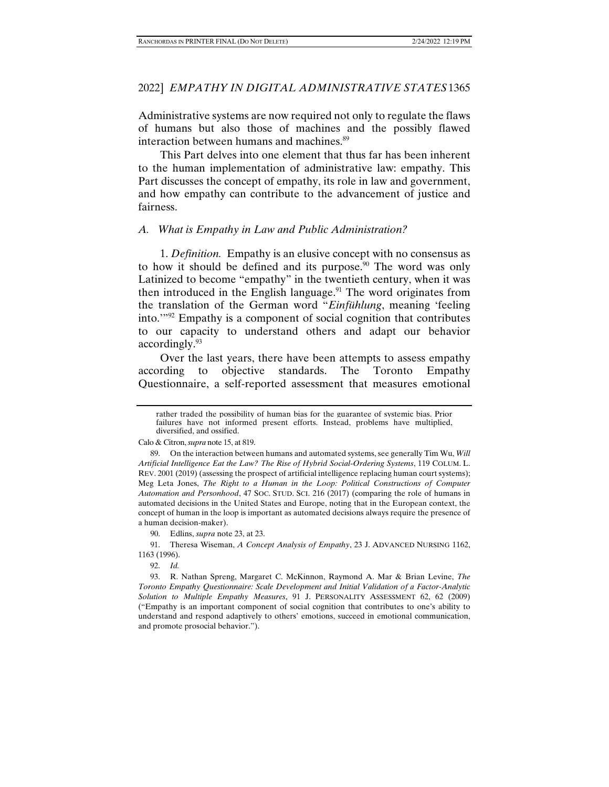Administrative systems are now required not only to regulate the flaws of humans but also those of machines and the possibly flawed interaction between humans and machines.<sup>89</sup>

This Part delves into one element that thus far has been inherent to the human implementation of administrative law: empathy. This Part discusses the concept of empathy, its role in law and government, and how empathy can contribute to the advancement of justice and fairness.

#### *A. What is Empathy in Law and Public Administration?*

1. *Definition.* Empathy is an elusive concept with no consensus as to how it should be defined and its purpose.<sup>90</sup> The word was only Latinized to become "empathy" in the twentieth century, when it was then introduced in the English language.<sup>91</sup> The word originates from the translation of the German word "*Einfühlung*, meaning 'feeling into.'"92 Empathy is a component of social cognition that contributes to our capacity to understand others and adapt our behavior accordingly.93

Over the last years, there have been attempts to assess empathy according to objective standards. The Toronto Empathy Questionnaire, a self-reported assessment that measures emotional

Calo & Citron, *supra* note 15, at 819.

rather traded the possibility of human bias for the guarantee of systemic bias. Prior failures have not informed present efforts. Instead, problems have multiplied, diversified, and ossified.

 <sup>89.</sup> On the interaction between humans and automated systems, see generally Tim Wu, *Will Artificial Intelligence Eat the Law? The Rise of Hybrid Social-Ordering Systems*, 119 COLUM. L. REV. 2001 (2019) (assessing the prospect of artificial intelligence replacing human court systems); Meg Leta Jones, *The Right to a Human in the Loop: Political Constructions of Computer Automation and Personhood*, 47 SOC. STUD. SCI. 216 (2017) (comparing the role of humans in automated decisions in the United States and Europe, noting that in the European context, the concept of human in the loop is important as automated decisions always require the presence of a human decision-maker).

 <sup>90.</sup> Edlins, *supra* note 23, at 23.

 <sup>91.</sup> Theresa Wiseman, *A Concept Analysis of Empathy*, 23 J. ADVANCED NURSING 1162, 1163 (1996).

 <sup>92.</sup> *Id.*

 <sup>93.</sup> R. Nathan Spreng, Margaret C. McKinnon, Raymond A. Mar & Brian Levine, *The Toronto Empathy Questionnaire: Scale Development and Initial Validation of a Factor-Analytic Solution to Multiple Empathy Measures*, 91 J. PERSONALITY ASSESSMENT 62, 62 (2009) ("Empathy is an important component of social cognition that contributes to one's ability to understand and respond adaptively to others' emotions, succeed in emotional communication, and promote prosocial behavior.").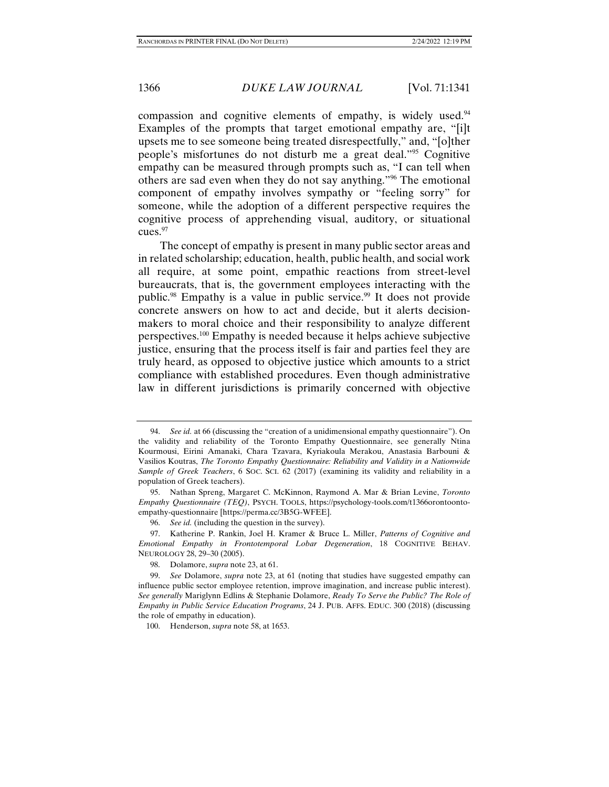compassion and cognitive elements of empathy, is widely used.<sup>94</sup> Examples of the prompts that target emotional empathy are, "[i]t upsets me to see someone being treated disrespectfully," and, "[o]ther people's misfortunes do not disturb me a great deal."95 Cognitive empathy can be measured through prompts such as, "I can tell when others are sad even when they do not say anything."96 The emotional component of empathy involves sympathy or "feeling sorry" for someone, while the adoption of a different perspective requires the cognitive process of apprehending visual, auditory, or situational cues.<sup>97</sup>

The concept of empathy is present in many public sector areas and in related scholarship; education, health, public health, and social work all require, at some point, empathic reactions from street-level bureaucrats, that is, the government employees interacting with the public.<sup>98</sup> Empathy is a value in public service.<sup>99</sup> It does not provide concrete answers on how to act and decide, but it alerts decisionmakers to moral choice and their responsibility to analyze different perspectives.100 Empathy is needed because it helps achieve subjective justice, ensuring that the process itself is fair and parties feel they are truly heard, as opposed to objective justice which amounts to a strict compliance with established procedures. Even though administrative law in different jurisdictions is primarily concerned with objective

 <sup>94.</sup> *See id.* at 66 (discussing the "creation of a unidimensional empathy questionnaire"). On the validity and reliability of the Toronto Empathy Questionnaire, see generally Ntina Kourmousi, Eirini Amanaki, Chara Tzavara, Kyriakoula Merakou, Anastasia Barbouni & Vasilios Koutras, *The Toronto Empathy Questionnaire: Reliability and Validity in a Nationwide Sample of Greek Teachers*, 6 SOC. SCI. 62 (2017) (examining its validity and reliability in a population of Greek teachers).

 <sup>95.</sup> Nathan Spreng, Margaret C. McKinnon, Raymond A. Mar & Brian Levine, *Toronto Empathy Questionnaire (TEQ)*, PSYCH. TOOLS, https://psychology-tools.com/t1366orontoontoempathy-questionnaire [https://perma.cc/3B5G-WFEE].

 <sup>96.</sup> *See id.* (including the question in the survey).

 <sup>97.</sup> Katherine P. Rankin, Joel H. Kramer & Bruce L. Miller, *Patterns of Cognitive and Emotional Empathy in Frontotemporal Lobar Degeneration*, 18 COGNITIVE BEHAV. NEUROLOGY 28, 29–30 (2005).

 <sup>98.</sup> Dolamore, *supra* note 23, at 61.

 <sup>99.</sup> *See* Dolamore, *supra* note 23, at 61 (noting that studies have suggested empathy can influence public sector employee retention, improve imagination, and increase public interest). *See generally* Mariglynn Edlins & Stephanie Dolamore, *Ready To Serve the Public? The Role of Empathy in Public Service Education Programs*, 24 J. PUB. AFFS. EDUC. 300 (2018) (discussing the role of empathy in education).

 <sup>100.</sup> Henderson, *supra* note 58, at 1653.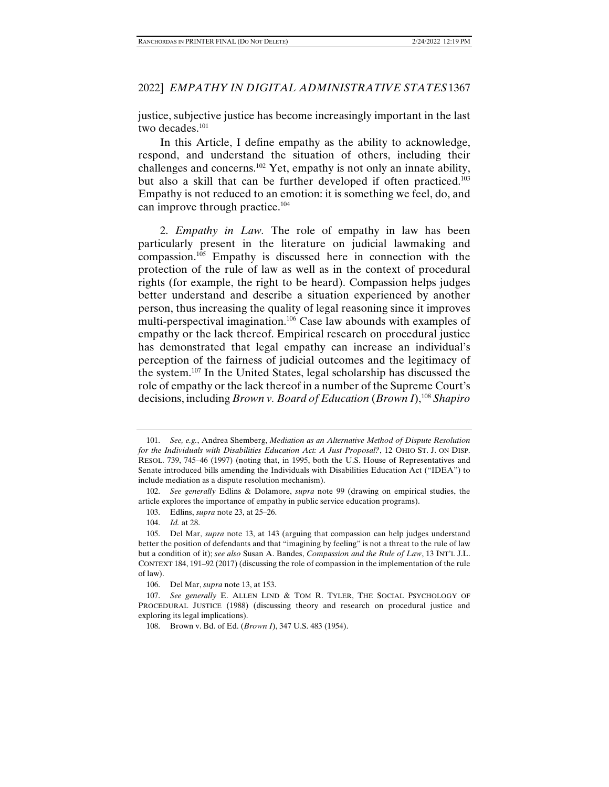justice, subjective justice has become increasingly important in the last two decades.<sup>101</sup>

In this Article, I define empathy as the ability to acknowledge, respond, and understand the situation of others, including their challenges and concerns.102 Yet, empathy is not only an innate ability, but also a skill that can be further developed if often practiced.<sup>103</sup> Empathy is not reduced to an emotion: it is something we feel, do, and can improve through practice.104

2. *Empathy in Law.* The role of empathy in law has been particularly present in the literature on judicial lawmaking and compassion.105 Empathy is discussed here in connection with the protection of the rule of law as well as in the context of procedural rights (for example, the right to be heard). Compassion helps judges better understand and describe a situation experienced by another person, thus increasing the quality of legal reasoning since it improves multi-perspectival imagination.106 Case law abounds with examples of empathy or the lack thereof. Empirical research on procedural justice has demonstrated that legal empathy can increase an individual's perception of the fairness of judicial outcomes and the legitimacy of the system.107 In the United States, legal scholarship has discussed the role of empathy or the lack thereof in a number of the Supreme Court's decisions, including *Brown v. Board of Education* (*Brown I*),108 *Shapiro* 

 <sup>101.</sup> *See, e.g.*, Andrea Shemberg, *Mediation as an Alternative Method of Dispute Resolution for the Individuals with Disabilities Education Act: A Just Proposal?*, 12 OHIO ST. J. ON DISP. RESOL. 739, 745–46 (1997) (noting that, in 1995, both the U.S. House of Representatives and Senate introduced bills amending the Individuals with Disabilities Education Act ("IDEA") to include mediation as a dispute resolution mechanism).

 <sup>102.</sup> *See generally* Edlins & Dolamore, *supra* note 99 (drawing on empirical studies, the article explores the importance of empathy in public service education programs).

 <sup>103.</sup> Edlins, *supra* note 23, at 25–26.

 <sup>104.</sup> *Id.* at 28.

 <sup>105.</sup> Del Mar, *supra* note 13, at 143 (arguing that compassion can help judges understand better the position of defendants and that "imagining by feeling" is not a threat to the rule of law but a condition of it); *see also* Susan A. Bandes, *Compassion and the Rule of Law*, 13 INT'L J.L. CONTEXT 184, 191–92 (2017) (discussing the role of compassion in the implementation of the rule of law).

 <sup>106.</sup> Del Mar, *supra* note 13, at 153.

 <sup>107.</sup> *See generally* E. ALLEN LIND & TOM R. TYLER, THE SOCIAL PSYCHOLOGY OF PROCEDURAL JUSTICE (1988) (discussing theory and research on procedural justice and exploring its legal implications).

 <sup>108.</sup> Brown v. Bd. of Ed. (*Brown I*), 347 U.S. 483 (1954).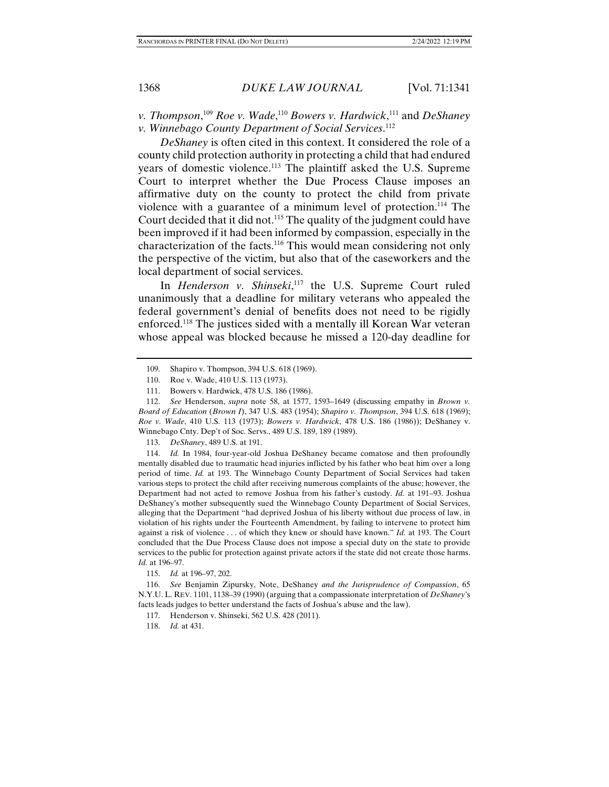*v. Thompson*,<sup>109</sup> *Roe v. Wade*,<sup>110</sup> *Bowers v. Hardwick*,<sup>111</sup> and *DeShaney v. Winnebago County Department of Social Services*. 112

*DeShaney* is often cited in this context. It considered the role of a county child protection authority in protecting a child that had endured years of domestic violence.113 The plaintiff asked the U.S. Supreme Court to interpret whether the Due Process Clause imposes an affirmative duty on the county to protect the child from private violence with a guarantee of a minimum level of protection.114 The Court decided that it did not.115 The quality of the judgment could have been improved if it had been informed by compassion, especially in the characterization of the facts.116 This would mean considering not only the perspective of the victim, but also that of the caseworkers and the local department of social services.

In *Henderson v. Shinseki*, 117 the U.S. Supreme Court ruled unanimously that a deadline for military veterans who appealed the federal government's denial of benefits does not need to be rigidly enforced.118 The justices sided with a mentally ill Korean War veteran whose appeal was blocked because he missed a 120-day deadline for

113. *DeShaney*, 489 U.S. at 191.

 114. *Id.* In 1984, four-year-old Joshua DeShaney became comatose and then profoundly mentally disabled due to traumatic head injuries inflicted by his father who beat him over a long period of time. *Id.* at 193. The Winnebago County Department of Social Services had taken various steps to protect the child after receiving numerous complaints of the abuse; however, the Department had not acted to remove Joshua from his father's custody. *Id.* at 191–93. Joshua DeShaney's mother subsequently sued the Winnebago County Department of Social Services, alleging that the Department "had deprived Joshua of his liberty without due process of law, in violation of his rights under the Fourteenth Amendment, by failing to intervene to protect him against a risk of violence . . . of which they knew or should have known." *Id.* at 193. The Court concluded that the Due Process Clause does not impose a special duty on the state to provide services to the public for protection against private actors if the state did not create those harms. *Id.* at 196–97.

115. *Id.* at 196–97, 202.

 116. *See* Benjamin Zipursky, Note, DeShaney *and the Jurisprudence of Compassion*, 65 N.Y.U. L. REV. 1101, 1138–39 (1990) (arguing that a compassionate interpretation of *DeShaney*'s facts leads judges to better understand the facts of Joshua's abuse and the law).

118. *Id.* at 431.

 <sup>109.</sup> Shapiro v. Thompson, 394 U.S. 618 (1969).

 <sup>110.</sup> Roe v. Wade, 410 U.S. 113 (1973).

 <sup>111.</sup> Bowers v. Hardwick, 478 U.S. 186 (1986).

 <sup>112.</sup> *See* Henderson, *supra* note 58, at 1577, 1593–1649 (discussing empathy in *Brown v. Board of Education* (*Brown I*), 347 U.S. 483 (1954); *Shapiro v. Thompson*, 394 U.S. 618 (1969); *Roe v. Wade*, 410 U.S. 113 (1973); *Bowers v. Hardwick*, 478 U.S. 186 (1986)); DeShaney v. Winnebago Cnty. Dep't of Soc. Servs., 489 U.S. 189, 189 (1989).

 <sup>117.</sup> Henderson v. Shinseki, 562 U.S. 428 (2011).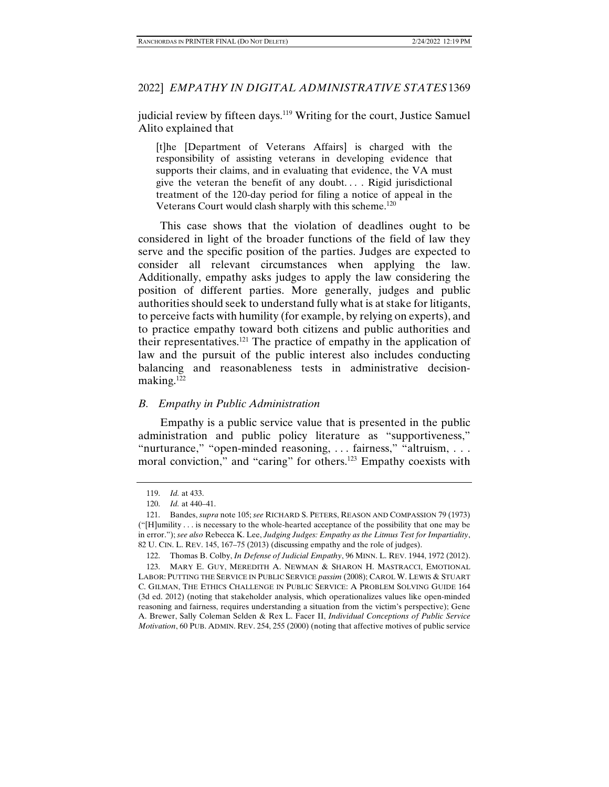judicial review by fifteen days.<sup>119</sup> Writing for the court, Justice Samuel Alito explained that

[t]he [Department of Veterans Affairs] is charged with the responsibility of assisting veterans in developing evidence that supports their claims, and in evaluating that evidence, the VA must give the veteran the benefit of any doubt. . . . Rigid jurisdictional treatment of the 120-day period for filing a notice of appeal in the Veterans Court would clash sharply with this scheme.<sup>120</sup>

This case shows that the violation of deadlines ought to be considered in light of the broader functions of the field of law they serve and the specific position of the parties. Judges are expected to consider all relevant circumstances when applying the law. Additionally, empathy asks judges to apply the law considering the position of different parties. More generally, judges and public authorities should seek to understand fully what is at stake for litigants, to perceive facts with humility (for example, by relying on experts), and to practice empathy toward both citizens and public authorities and their representatives.<sup>121</sup> The practice of empathy in the application of law and the pursuit of the public interest also includes conducting balancing and reasonableness tests in administrative decisionmaking.<sup>122</sup>

# *B. Empathy in Public Administration*

Empathy is a public service value that is presented in the public administration and public policy literature as "supportiveness," "nurturance," "open-minded reasoning, . . . fairness," "altruism, . . . moral conviction," and "caring" for others.<sup>123</sup> Empathy coexists with

 <sup>119.</sup> *Id.* at 433.

 <sup>120.</sup> *Id.* at 440–41.

 <sup>121.</sup> Bandes, *supra* note 105; *see* RICHARD S. PETERS, REASON AND COMPASSION 79 (1973) ("[H]umility . . . is necessary to the whole-hearted acceptance of the possibility that one may be in error."); *see also* Rebecca K. Lee, *Judging Judges: Empathy as the Litmus Test for Impartiality*, 82 U. CIN. L. REV. 145, 167–75 (2013) (discussing empathy and the role of judges).

 <sup>122.</sup> Thomas B. Colby, *In Defense of Judicial Empathy*, 96 MINN. L. REV. 1944, 1972 (2012).

 <sup>123.</sup> MARY E. GUY, MEREDITH A. NEWMAN & SHARON H. MASTRACCI, EMOTIONAL LABOR: PUTTING THE SERVICE IN PUBLIC SERVICE *passim* (2008); CAROL W. LEWIS & STUART C. GILMAN, THE ETHICS CHALLENGE IN PUBLIC SERVICE: A PROBLEM SOLVING GUIDE 164 (3d ed. 2012) (noting that stakeholder analysis, which operationalizes values like open-minded reasoning and fairness, requires understanding a situation from the victim's perspective); Gene A. Brewer, Sally Coleman Selden & Rex L. Facer II, *Individual Conceptions of Public Service Motivation*, 60 PUB. ADMIN. REV. 254, 255 (2000) (noting that affective motives of public service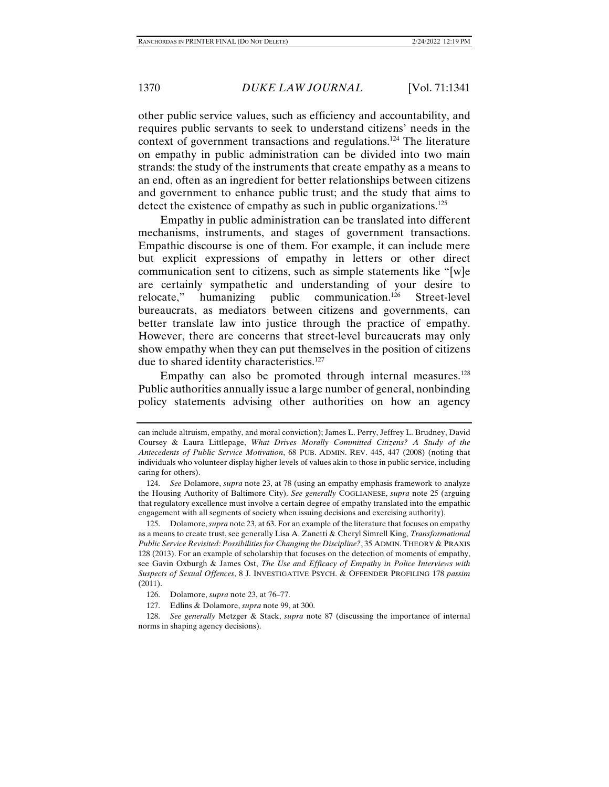other public service values, such as efficiency and accountability, and requires public servants to seek to understand citizens' needs in the context of government transactions and regulations.124 The literature on empathy in public administration can be divided into two main strands: the study of the instruments that create empathy as a means to an end, often as an ingredient for better relationships between citizens and government to enhance public trust; and the study that aims to detect the existence of empathy as such in public organizations.<sup>125</sup>

Empathy in public administration can be translated into different mechanisms, instruments, and stages of government transactions. Empathic discourse is one of them. For example, it can include mere but explicit expressions of empathy in letters or other direct communication sent to citizens, such as simple statements like "[w]e are certainly sympathetic and understanding of your desire to relocate," humanizing public communication.126 Street-level bureaucrats, as mediators between citizens and governments, can better translate law into justice through the practice of empathy. However, there are concerns that street-level bureaucrats may only show empathy when they can put themselves in the position of citizens due to shared identity characteristics.<sup>127</sup>

Empathy can also be promoted through internal measures.<sup>128</sup> Public authorities annually issue a large number of general, nonbinding policy statements advising other authorities on how an agency

can include altruism, empathy, and moral conviction); James L. Perry, Jeffrey L. Brudney, David Coursey & Laura Littlepage, *What Drives Morally Committed Citizens? A Study of the Antecedents of Public Service Motivation*, 68 PUB. ADMIN. REV. 445, 447 (2008) (noting that individuals who volunteer display higher levels of values akin to those in public service, including caring for others).

 <sup>124.</sup> *See* Dolamore, *supra* note 23, at 78 (using an empathy emphasis framework to analyze the Housing Authority of Baltimore City). *See generally* COGLIANESE, *supra* note 25 (arguing that regulatory excellence must involve a certain degree of empathy translated into the empathic engagement with all segments of society when issuing decisions and exercising authority).

 <sup>125.</sup> Dolamore, *supra* note 23, at 63. For an example of the literature that focuses on empathy as a means to create trust, see generally Lisa A. Zanetti & Cheryl Simrell King, *Transformational Public Service Revisited: Possibilities for Changing the Discipline?*, 35 ADMIN. THEORY & PRAXIS 128 (2013). For an example of scholarship that focuses on the detection of moments of empathy, see Gavin Oxburgh & James Ost, *The Use and Efficacy of Empathy in Police Interviews with Suspects of Sexual Offences*, 8 J. INVESTIGATIVE PSYCH. & OFFENDER PROFILING 178 *passim* (2011).

 <sup>126.</sup> Dolamore, *supra* note 23, at 76–77.

 <sup>127.</sup> Edlins & Dolamore, *supra* note 99, at 300.

 <sup>128.</sup> *See generally* Metzger & Stack, *supra* note 87 (discussing the importance of internal norms in shaping agency decisions).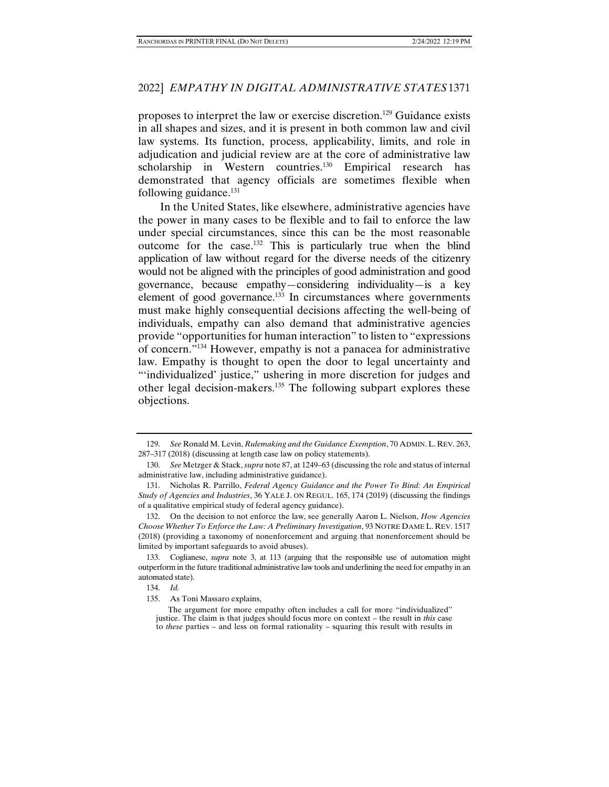proposes to interpret the law or exercise discretion.129 Guidance exists in all shapes and sizes, and it is present in both common law and civil law systems. Its function, process, applicability, limits, and role in adjudication and judicial review are at the core of administrative law scholarship in Western countries.<sup>130</sup> Empirical research has demonstrated that agency officials are sometimes flexible when following guidance. $131$ 

In the United States, like elsewhere, administrative agencies have the power in many cases to be flexible and to fail to enforce the law under special circumstances, since this can be the most reasonable outcome for the case.132 This is particularly true when the blind application of law without regard for the diverse needs of the citizenry would not be aligned with the principles of good administration and good governance, because empathy—considering individuality—is a key element of good governance.<sup>133</sup> In circumstances where governments must make highly consequential decisions affecting the well-being of individuals, empathy can also demand that administrative agencies provide "opportunities for human interaction" to listen to "expressions of concern."134 However, empathy is not a panacea for administrative law. Empathy is thought to open the door to legal uncertainty and "individualized' justice," ushering in more discretion for judges and other legal decision-makers.135 The following subpart explores these objections.

 <sup>129.</sup> *See* Ronald M. Levin, *Rulemaking and the Guidance Exemption*, 70 ADMIN.L. REV. 263, 287–317 (2018) (discussing at length case law on policy statements).

 <sup>130.</sup> *See* Metzger & Stack, *supra* note 87, at 1249–63 (discussing the role and status of internal administrative law, including administrative guidance).

 <sup>131.</sup> Nicholas R. Parrillo, *Federal Agency Guidance and the Power To Bind: An Empirical Study of Agencies and Industries*, 36 YALE J. ON REGUL. 165, 174 (2019) (discussing the findings of a qualitative empirical study of federal agency guidance).

 <sup>132.</sup> On the decision to not enforce the law, see generally Aaron L. Nielson, *How Agencies Choose Whether To Enforce the Law: A Preliminary Investigation*, 93 NOTRE DAME L. REV. 1517 (2018) (providing a taxonomy of nonenforcement and arguing that nonenforcement should be limited by important safeguards to avoid abuses).

 <sup>133.</sup> Coglianese, *supra* note 3, at 113 (arguing that the responsible use of automation might outperform in the future traditional administrative law tools and underlining the need for empathy in an automated state).

 <sup>134.</sup> *Id.*

 <sup>135.</sup> As Toni Massaro explains,

The argument for more empathy often includes a call for more "individualized" justice. The claim is that judges should focus more on context – the result in *this* case to *these* parties – and less on formal rationality – squaring this result with results in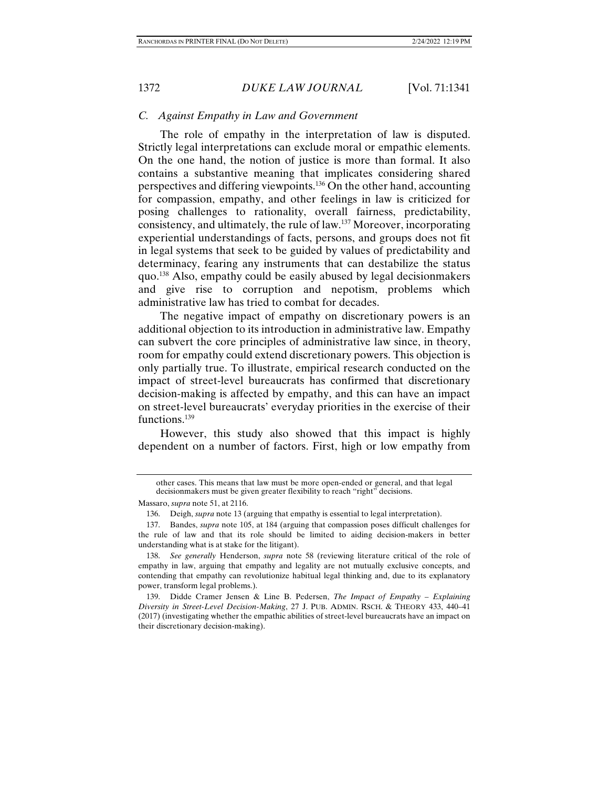# *C. Against Empathy in Law and Government*

The role of empathy in the interpretation of law is disputed. Strictly legal interpretations can exclude moral or empathic elements. On the one hand, the notion of justice is more than formal. It also contains a substantive meaning that implicates considering shared perspectives and differing viewpoints.136 On the other hand, accounting for compassion, empathy, and other feelings in law is criticized for posing challenges to rationality, overall fairness, predictability, consistency, and ultimately, the rule of law.137 Moreover, incorporating experiential understandings of facts, persons, and groups does not fit in legal systems that seek to be guided by values of predictability and determinacy, fearing any instruments that can destabilize the status quo.138 Also, empathy could be easily abused by legal decisionmakers and give rise to corruption and nepotism, problems which administrative law has tried to combat for decades.

The negative impact of empathy on discretionary powers is an additional objection to its introduction in administrative law. Empathy can subvert the core principles of administrative law since, in theory, room for empathy could extend discretionary powers. This objection is only partially true. To illustrate, empirical research conducted on the impact of street-level bureaucrats has confirmed that discretionary decision-making is affected by empathy, and this can have an impact on street-level bureaucrats' everyday priorities in the exercise of their functions.139

However, this study also showed that this impact is highly dependent on a number of factors. First, high or low empathy from

other cases. This means that law must be more open-ended or general, and that legal decisionmakers must be given greater flexibility to reach "right" decisions.

Massaro, *supra* note 51, at 2116.

 <sup>136.</sup> Deigh, *supra* note 13 (arguing that empathy is essential to legal interpretation).

 <sup>137.</sup> Bandes, *supra* note 105, at 184 (arguing that compassion poses difficult challenges for the rule of law and that its role should be limited to aiding decision-makers in better understanding what is at stake for the litigant).

 <sup>138.</sup> *See generally* Henderson, *supra* note 58 (reviewing literature critical of the role of empathy in law, arguing that empathy and legality are not mutually exclusive concepts, and contending that empathy can revolutionize habitual legal thinking and, due to its explanatory power, transform legal problems.).

 <sup>139.</sup> Didde Cramer Jensen & Line B. Pedersen, *The Impact of Empathy – Explaining Diversity in Street-Level Decision-Making*, 27 J. PUB. ADMIN. RSCH. & THEORY 433, 440–41 (2017) (investigating whether the empathic abilities of street-level bureaucrats have an impact on their discretionary decision-making).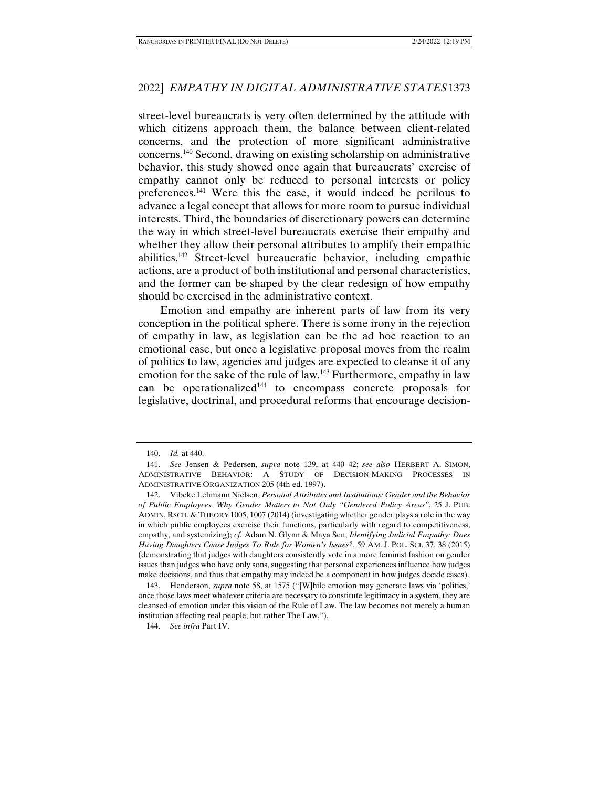street-level bureaucrats is very often determined by the attitude with which citizens approach them, the balance between client-related concerns, and the protection of more significant administrative concerns.140 Second, drawing on existing scholarship on administrative behavior, this study showed once again that bureaucrats' exercise of empathy cannot only be reduced to personal interests or policy preferences.141 Were this the case, it would indeed be perilous to advance a legal concept that allows for more room to pursue individual interests. Third, the boundaries of discretionary powers can determine the way in which street-level bureaucrats exercise their empathy and whether they allow their personal attributes to amplify their empathic abilities.142 Street-level bureaucratic behavior, including empathic actions, are a product of both institutional and personal characteristics, and the former can be shaped by the clear redesign of how empathy should be exercised in the administrative context.

Emotion and empathy are inherent parts of law from its very conception in the political sphere. There is some irony in the rejection of empathy in law, as legislation can be the ad hoc reaction to an emotional case, but once a legislative proposal moves from the realm of politics to law, agencies and judges are expected to cleanse it of any emotion for the sake of the rule of law.<sup>143</sup> Furthermore, empathy in law can be operationalized<sup>144</sup> to encompass concrete proposals for legislative, doctrinal, and procedural reforms that encourage decision-

 <sup>140.</sup> *Id.* at 440.

 <sup>141.</sup> *See* Jensen & Pedersen, *supra* note 139, at 440–42; *see also* HERBERT A. SIMON, ADMINISTRATIVE BEHAVIOR: A STUDY OF DECISION-MAKING PROCESSES IN ADMINISTRATIVE ORGANIZATION 205 (4th ed. 1997).

 <sup>142.</sup> Vibeke Lehmann Nielsen, *Personal Attributes and Institutions: Gender and the Behavior of Public Employees. Why Gender Matters to Not Only "Gendered Policy Areas"*, 25 J. PUB. ADMIN. RSCH. & THEORY 1005, 1007 (2014) (investigating whether gender plays a role in the way in which public employees exercise their functions, particularly with regard to competitiveness, empathy, and systemizing); *cf.* Adam N. Glynn & Maya Sen, *Identifying Judicial Empathy: Does Having Daughters Cause Judges To Rule for Women's Issues?*, 59 AM. J. POL. SCI. 37, 38 (2015) (demonstrating that judges with daughters consistently vote in a more feminist fashion on gender issues than judges who have only sons, suggesting that personal experiences influence how judges make decisions, and thus that empathy may indeed be a component in how judges decide cases).

 <sup>143.</sup> Henderson, *supra* note 58, at 1575 ("[W]hile emotion may generate laws via 'politics,' once those laws meet whatever criteria are necessary to constitute legitimacy in a system, they are cleansed of emotion under this vision of the Rule of Law. The law becomes not merely a human institution affecting real people, but rather The Law.").

 <sup>144.</sup> *See infra* Part IV.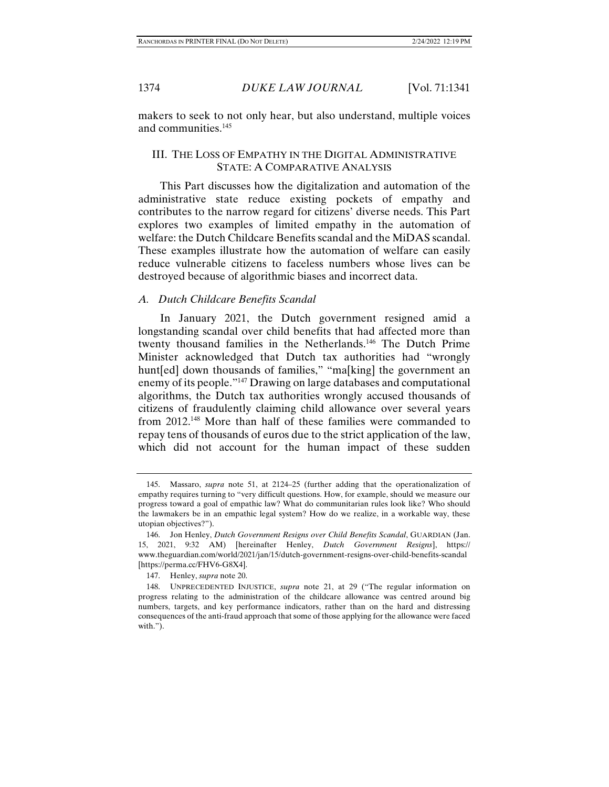makers to seek to not only hear, but also understand, multiple voices and communities.145

# III. THE LOSS OF EMPATHY IN THE DIGITAL ADMINISTRATIVE STATE: A COMPARATIVE ANALYSIS

This Part discusses how the digitalization and automation of the administrative state reduce existing pockets of empathy and contributes to the narrow regard for citizens' diverse needs. This Part explores two examples of limited empathy in the automation of welfare: the Dutch Childcare Benefits scandal and the MiDAS scandal. These examples illustrate how the automation of welfare can easily reduce vulnerable citizens to faceless numbers whose lives can be destroyed because of algorithmic biases and incorrect data.

## *A. Dutch Childcare Benefits Scandal*

In January 2021, the Dutch government resigned amid a longstanding scandal over child benefits that had affected more than twenty thousand families in the Netherlands.146 The Dutch Prime Minister acknowledged that Dutch tax authorities had "wrongly hunt[ed] down thousands of families," "ma[king] the government an enemy of its people."147 Drawing on large databases and computational algorithms, the Dutch tax authorities wrongly accused thousands of citizens of fraudulently claiming child allowance over several years from 2012.148 More than half of these families were commanded to repay tens of thousands of euros due to the strict application of the law, which did not account for the human impact of these sudden

 <sup>145.</sup> Massaro, *supra* note 51, at 2124–25 (further adding that the operationalization of empathy requires turning to "very difficult questions. How, for example, should we measure our progress toward a goal of empathic law? What do communitarian rules look like? Who should the lawmakers be in an empathic legal system? How do we realize, in a workable way, these utopian objectives?").

 <sup>146.</sup> Jon Henley, *Dutch Government Resigns over Child Benefits Scandal*, GUARDIAN (Jan. 15, 2021, 9:32 AM) [hereinafter Henley, *Dutch Government Resigns*], https:// www.theguardian.com/world/2021/jan/15/dutch-government-resigns-over-child-benefits-scandal [https://perma.cc/FHV6-G8X4].

 <sup>147.</sup> Henley, *supra* note 20.

 <sup>148.</sup> UNPRECEDENTED INJUSTICE, *supra* note 21, at 29 ("The regular information on progress relating to the administration of the childcare allowance was centred around big numbers, targets, and key performance indicators, rather than on the hard and distressing consequences of the anti-fraud approach that some of those applying for the allowance were faced with.").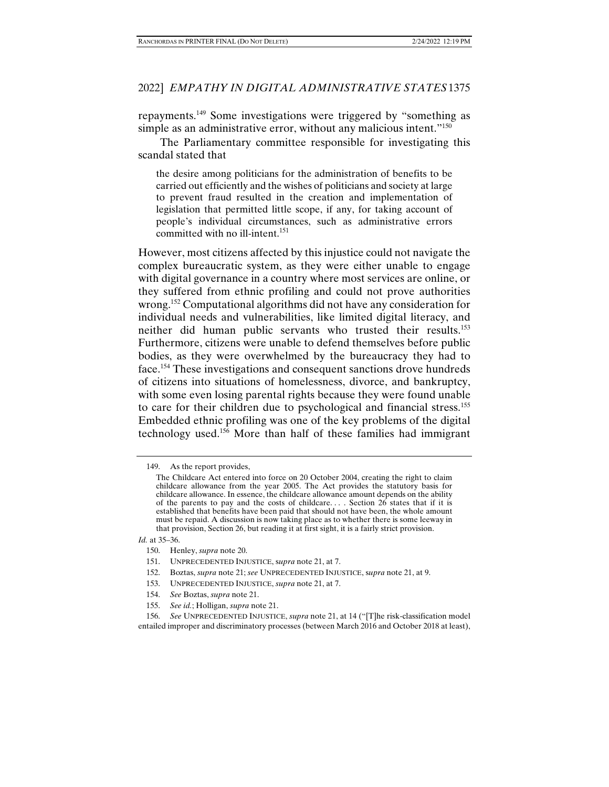repayments.149 Some investigations were triggered by "something as simple as an administrative error, without any malicious intent."<sup>150</sup>

The Parliamentary committee responsible for investigating this scandal stated that

the desire among politicians for the administration of benefits to be carried out efficiently and the wishes of politicians and society at large to prevent fraud resulted in the creation and implementation of legislation that permitted little scope, if any, for taking account of people's individual circumstances, such as administrative errors committed with no ill-intent.<sup>151</sup>

However, most citizens affected by this injustice could not navigate the complex bureaucratic system, as they were either unable to engage with digital governance in a country where most services are online, or they suffered from ethnic profiling and could not prove authorities wrong.<sup>152</sup> Computational algorithms did not have any consideration for individual needs and vulnerabilities, like limited digital literacy, and neither did human public servants who trusted their results.153 Furthermore, citizens were unable to defend themselves before public bodies, as they were overwhelmed by the bureaucracy they had to face.154 These investigations and consequent sanctions drove hundreds of citizens into situations of homelessness, divorce, and bankruptcy, with some even losing parental rights because they were found unable to care for their children due to psychological and financial stress.155 Embedded ethnic profiling was one of the key problems of the digital technology used.156 More than half of these families had immigrant

*Id.* at 35–36.

- 152. Boztas, *supra* note 21; *see* UNPRECEDENTED INJUSTICE, s*upra* note 21, at 9.
- 153. UNPRECEDENTED INJUSTICE, *supra* note 21, at 7.
- 154. *See* Boztas, *supra* note 21.
- 155. *See id.*; Holligan, *supra* note 21.

 <sup>149.</sup> As the report provides,

The Childcare Act entered into force on 20 October 2004, creating the right to claim childcare allowance from the year 2005. The Act provides the statutory basis for childcare allowance. In essence, the childcare allowance amount depends on the ability of the parents to pay and the costs of childcare.... Section  $26$  states that if it is established that benefits have been paid that should not have been, the whole amount must be repaid. A discussion is now taking place as to whether there is some leeway in that provision, Section 26, but reading it at first sight, it is a fairly strict provision.

 <sup>150.</sup> Henley, *supra* note 20.

 <sup>151.</sup> UNPRECEDENTED INJUSTICE, s*upra* note 21, at 7.

 <sup>156.</sup> *See* UNPRECEDENTED INJUSTICE, *supra* note 21, at 14 ("[T]he risk-classification model entailed improper and discriminatory processes (between March 2016 and October 2018 at least),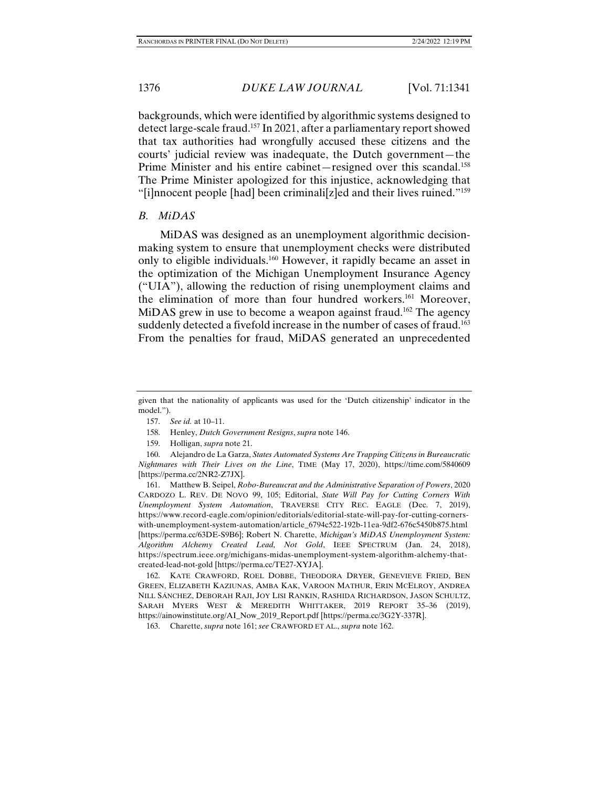backgrounds, which were identified by algorithmic systems designed to detect large-scale fraud.157 In 2021, after a parliamentary report showed that tax authorities had wrongfully accused these citizens and the courts' judicial review was inadequate, the Dutch government—the Prime Minister and his entire cabinet—resigned over this scandal.<sup>158</sup> The Prime Minister apologized for this injustice, acknowledging that "[i]nnocent people [had] been criminali[z]ed and their lives ruined."159

# *B. MiDAS*

MiDAS was designed as an unemployment algorithmic decisionmaking system to ensure that unemployment checks were distributed only to eligible individuals.160 However, it rapidly became an asset in the optimization of the Michigan Unemployment Insurance Agency ("UIA"), allowing the reduction of rising unemployment claims and the elimination of more than four hundred workers.<sup>161</sup> Moreover, MiDAS grew in use to become a weapon against fraud.<sup>162</sup> The agency suddenly detected a fivefold increase in the number of cases of fraud.<sup>163</sup> From the penalties for fraud, MiDAS generated an unprecedented

given that the nationality of applicants was used for the 'Dutch citizenship' indicator in the model.").

 <sup>157.</sup> *See id.* at 10–11.

 <sup>158.</sup> Henley, *Dutch Government Resigns*, *supra* note 146.

 <sup>159.</sup> Holligan, *supra* note 21.

 <sup>160.</sup> Alejandro de La Garza, *States Automated Systems Are Trapping Citizens in Bureaucratic Nightmares with Their Lives on the Line*, TIME (May 17, 2020), https://time.com/5840609 [https://perma.cc/2NR2-Z7JX].

 <sup>161.</sup> Matthew B. Seipel, *Robo-Bureaucrat and the Administrative Separation of Powers*, 2020 CARDOZO L. REV. DE NOVO 99, 105; Editorial, *State Will Pay for Cutting Corners With Unemployment System Automation*, TRAVERSE CITY REC. EAGLE (Dec. 7, 2019), https://www.record-eagle.com/opinion/editorials/editorial-state-will-pay-for-cutting-cornerswith-unemployment-system-automation/article\_6794c522-192b-11ea-9df2-676c5450b875.html [https://perma.cc/63DE-S9B6]; Robert N. Charette, *Michigan's MiDAS Unemployment System: Algorithm Alchemy Created Lead, Not Gold*, IEEE SPECTRUM (Jan. 24, 2018), https://spectrum.ieee.org/michigans-midas-unemployment-system-algorithm-alchemy-thatcreated-lead-not-gold [https://perma.cc/TE27-XYJA].

 <sup>162.</sup> KATE CRAWFORD, ROEL DOBBE, THEODORA DRYER, GENEVIEVE FRIED, BEN GREEN, ELIZABETH KAZIUNAS, AMBA KAK, VAROON MATHUR, ERIN MCELROY, ANDREA NILL SÁNCHEZ, DEBORAH RAJI, JOY LISI RANKIN, RASHIDA RICHARDSON, JASON SCHULTZ, SARAH MYERS WEST & MEREDITH WHITTAKER, 2019 REPORT 35–36 (2019), https://ainowinstitute.org/AI\_Now\_2019\_Report.pdf [https://perma.cc/3G2Y-337R].

 <sup>163.</sup> Charette, *supra* note 161; *see* CRAWFORD ET AL., *supra* note 162.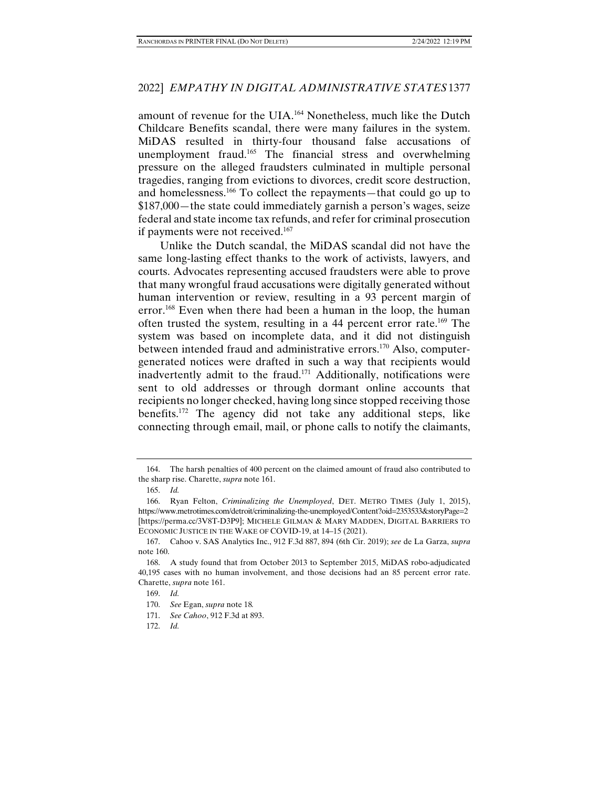amount of revenue for the UIA.164 Nonetheless, much like the Dutch Childcare Benefits scandal, there were many failures in the system. MiDAS resulted in thirty-four thousand false accusations of unemployment fraud.165 The financial stress and overwhelming pressure on the alleged fraudsters culminated in multiple personal tragedies, ranging from evictions to divorces, credit score destruction, and homelessness.166 To collect the repayments—that could go up to \$187,000—the state could immediately garnish a person's wages, seize federal and state income tax refunds, and refer for criminal prosecution if payments were not received.<sup>167</sup>

Unlike the Dutch scandal, the MiDAS scandal did not have the same long-lasting effect thanks to the work of activists, lawyers, and courts. Advocates representing accused fraudsters were able to prove that many wrongful fraud accusations were digitally generated without human intervention or review, resulting in a 93 percent margin of error.<sup>168</sup> Even when there had been a human in the loop, the human often trusted the system, resulting in a 44 percent error rate.169 The system was based on incomplete data, and it did not distinguish between intended fraud and administrative errors.<sup>170</sup> Also, computergenerated notices were drafted in such a way that recipients would inadvertently admit to the fraud.<sup>171</sup> Additionally, notifications were sent to old addresses or through dormant online accounts that recipients no longer checked, having long since stopped receiving those benefits.172 The agency did not take any additional steps, like connecting through email, mail, or phone calls to notify the claimants,

 <sup>164.</sup> The harsh penalties of 400 percent on the claimed amount of fraud also contributed to the sharp rise. Charette, *supra* note 161.

 <sup>165.</sup> *Id.*

 <sup>166.</sup> Ryan Felton, *Criminalizing the Unemployed*, DET. METRO TIMES (July 1, 2015), https://www.metrotimes.com/detroit/criminalizing-the-unemployed/Content?oid=2353533&storyPage=2 [https://perma.cc/3V8T-D3P9]; MICHELE GILMAN & MARY MADDEN, DIGITAL BARRIERS TO ECONOMIC JUSTICE IN THE WAKE OF COVID-19, at 14–15 (2021).

 <sup>167.</sup> Cahoo v. SAS Analytics Inc., 912 F.3d 887, 894 (6th Cir. 2019); *see* de La Garza, *supra*  note 160.

 <sup>168.</sup> A study found that from October 2013 to September 2015, MiDAS robo-adjudicated 40,195 cases with no human involvement, and those decisions had an 85 percent error rate. Charette, *supra* note 161.

 <sup>169.</sup> *Id.* 

 <sup>170.</sup> *See* Egan, *supra* note 18*.*

 <sup>171.</sup> *See Cahoo*, 912 F.3d at 893.

 <sup>172.</sup> *Id.*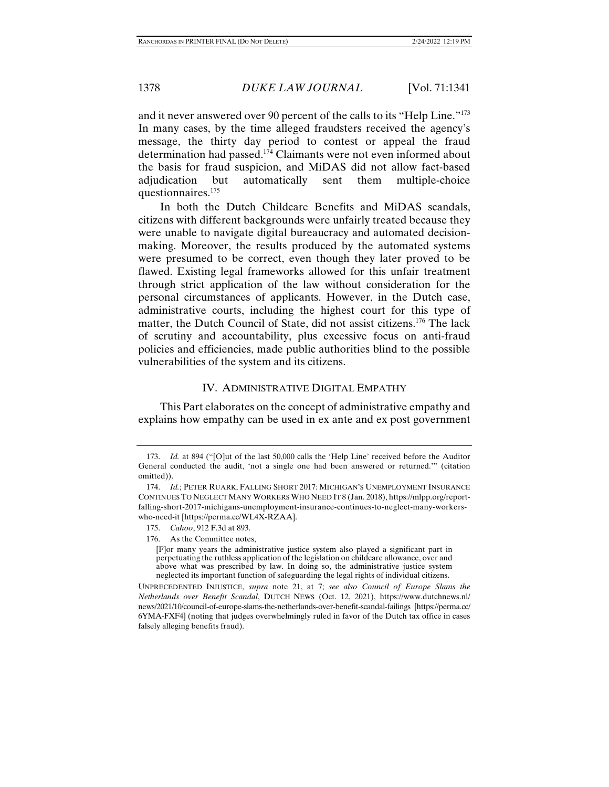and it never answered over 90 percent of the calls to its "Help Line."173 In many cases, by the time alleged fraudsters received the agency's message, the thirty day period to contest or appeal the fraud determination had passed.174 Claimants were not even informed about the basis for fraud suspicion, and MiDAS did not allow fact-based adjudication but automatically sent them multiple-choice questionnaires.175

In both the Dutch Childcare Benefits and MiDAS scandals, citizens with different backgrounds were unfairly treated because they were unable to navigate digital bureaucracy and automated decisionmaking. Moreover, the results produced by the automated systems were presumed to be correct, even though they later proved to be flawed. Existing legal frameworks allowed for this unfair treatment through strict application of the law without consideration for the personal circumstances of applicants. However, in the Dutch case, administrative courts, including the highest court for this type of matter, the Dutch Council of State, did not assist citizens.176 The lack of scrutiny and accountability, plus excessive focus on anti-fraud policies and efficiencies, made public authorities blind to the possible vulnerabilities of the system and its citizens.

## IV. ADMINISTRATIVE DIGITAL EMPATHY

This Part elaborates on the concept of administrative empathy and explains how empathy can be used in ex ante and ex post government

 <sup>173.</sup> *Id.* at 894 ("[O]ut of the last 50,000 calls the 'Help Line' received before the Auditor General conducted the audit, 'not a single one had been answered or returned.'" (citation omitted)).

 <sup>174.</sup> *Id.*; PETER RUARK, FALLING SHORT 2017: MICHIGAN'S UNEMPLOYMENT INSURANCE CONTINUES TO NEGLECT MANY WORKERS WHO NEED IT 8 (Jan. 2018), https://mlpp.org/reportfalling-short-2017-michigans-unemployment-insurance-continues-to-neglect-many-workerswho-need-it [https://perma.cc/WL4X-RZAA].

 <sup>175.</sup> *Cahoo*, 912 F.3d at 893.

 <sup>176.</sup> As the Committee notes,

<sup>[</sup>F]or many years the administrative justice system also played a significant part in perpetuating the ruthless application of the legislation on childcare allowance, over and above what was prescribed by law. In doing so, the administrative justice system neglected its important function of safeguarding the legal rights of individual citizens.

UNPRECEDENTED INJUSTICE, *supra* note 21, at 7; *see also Council of Europe Slams the Netherlands over Benefit Scandal*, DUTCH NEWS (Oct. 12, 2021), https://www.dutchnews.nl/ news/2021/10/council-of-europe-slams-the-netherlands-over-benefit-scandal-failings [https://perma.cc/ 6YMA-FXF4] (noting that judges overwhelmingly ruled in favor of the Dutch tax office in cases falsely alleging benefits fraud).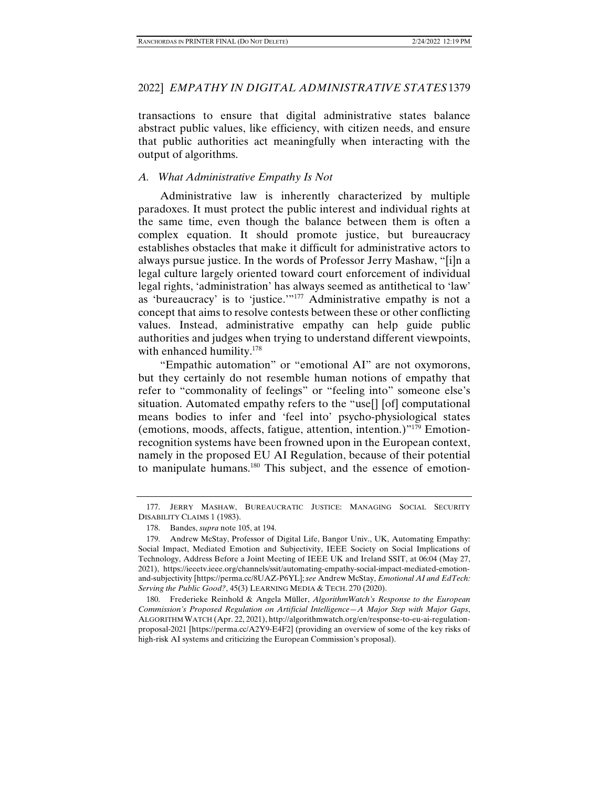transactions to ensure that digital administrative states balance abstract public values, like efficiency, with citizen needs, and ensure that public authorities act meaningfully when interacting with the output of algorithms.

# *A. What Administrative Empathy Is Not*

Administrative law is inherently characterized by multiple paradoxes. It must protect the public interest and individual rights at the same time, even though the balance between them is often a complex equation. It should promote justice, but bureaucracy establishes obstacles that make it difficult for administrative actors to always pursue justice. In the words of Professor Jerry Mashaw, "[i]n a legal culture largely oriented toward court enforcement of individual legal rights, 'administration' has always seemed as antithetical to 'law' as 'bureaucracy' is to 'justice.'"177 Administrative empathy is not a concept that aims to resolve contests between these or other conflicting values. Instead, administrative empathy can help guide public authorities and judges when trying to understand different viewpoints, with enhanced humility.<sup>178</sup>

"Empathic automation" or "emotional AI" are not oxymorons, but they certainly do not resemble human notions of empathy that refer to "commonality of feelings" or "feeling into" someone else's situation. Automated empathy refers to the "use[] [of] computational means bodies to infer and 'feel into' psycho-physiological states (emotions, moods, affects, fatigue, attention, intention.)"179 Emotionrecognition systems have been frowned upon in the European context, namely in the proposed EU AI Regulation, because of their potential to manipulate humans.180 This subject, and the essence of emotion-

 <sup>177.</sup> JERRY MASHAW, BUREAUCRATIC JUSTICE: MANAGING SOCIAL SECURITY DISABILITY CLAIMS 1 (1983).

 <sup>178.</sup> Bandes, *supra* note 105, at 194.

 <sup>179.</sup> Andrew McStay, Professor of Digital Life, Bangor Univ., UK, Automating Empathy: Social Impact, Mediated Emotion and Subjectivity, IEEE Society on Social Implications of Technology, Address Before a Joint Meeting of IEEE UK and Ireland SSIT, at 06:04 (May 27, 2021), https://ieeetv.ieee.org/channels/ssit/automating-empathy-social-impact-mediated-emotionand-subjectivity [https://perma.cc/8UAZ-P6YL]; *see* Andrew McStay, *Emotional AI and EdTech: Serving the Public Good?*, 45(3) LEARNING MEDIA & TECH. 270 (2020).

 <sup>180.</sup> Frederieke Reinhold & Angela Müller, *AlgorithmWatch's Response to the European Commission's Proposed Regulation on Artificial Intelligence—A Major Step with Major Gaps*, ALGORITHM WATCH (Apr. 22, 2021), http://algorithmwatch.org/en/response-to-eu-ai-regulationproposal-2021 [https://perma.cc/A2Y9-E4F2] (providing an overview of some of the key risks of high-risk AI systems and criticizing the European Commission's proposal).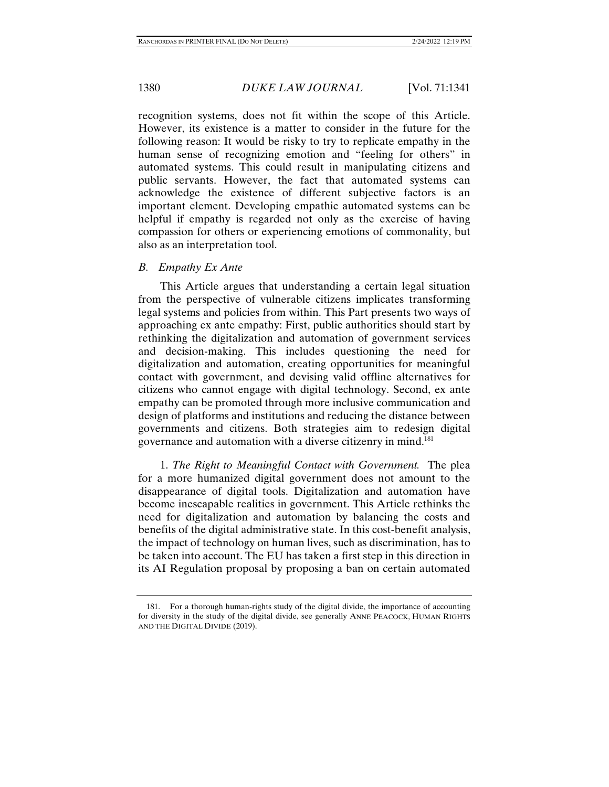recognition systems, does not fit within the scope of this Article. However, its existence is a matter to consider in the future for the following reason: It would be risky to try to replicate empathy in the human sense of recognizing emotion and "feeling for others" in automated systems. This could result in manipulating citizens and public servants. However, the fact that automated systems can acknowledge the existence of different subjective factors is an important element. Developing empathic automated systems can be helpful if empathy is regarded not only as the exercise of having compassion for others or experiencing emotions of commonality, but also as an interpretation tool.

# *B. Empathy Ex Ante*

This Article argues that understanding a certain legal situation from the perspective of vulnerable citizens implicates transforming legal systems and policies from within. This Part presents two ways of approaching ex ante empathy: First, public authorities should start by rethinking the digitalization and automation of government services and decision-making. This includes questioning the need for digitalization and automation, creating opportunities for meaningful contact with government, and devising valid offline alternatives for citizens who cannot engage with digital technology. Second, ex ante empathy can be promoted through more inclusive communication and design of platforms and institutions and reducing the distance between governments and citizens. Both strategies aim to redesign digital governance and automation with a diverse citizenry in mind.181

1. *The Right to Meaningful Contact with Government.* The plea for a more humanized digital government does not amount to the disappearance of digital tools. Digitalization and automation have become inescapable realities in government. This Article rethinks the need for digitalization and automation by balancing the costs and benefits of the digital administrative state. In this cost-benefit analysis, the impact of technology on human lives, such as discrimination, has to be taken into account. The EU has taken a first step in this direction in its AI Regulation proposal by proposing a ban on certain automated

 <sup>181.</sup> For a thorough human-rights study of the digital divide, the importance of accounting for diversity in the study of the digital divide, see generally ANNE PEACOCK, HUMAN RIGHTS AND THE DIGITAL DIVIDE (2019).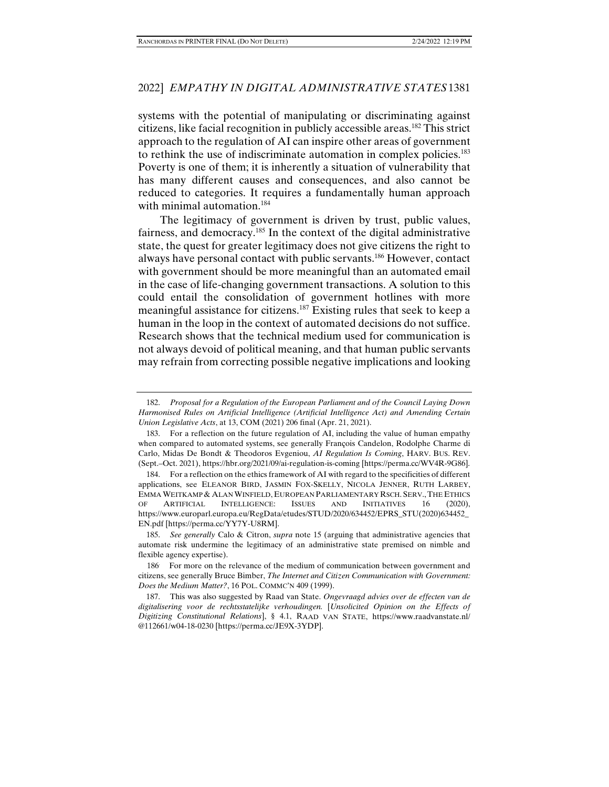systems with the potential of manipulating or discriminating against citizens, like facial recognition in publicly accessible areas.182 This strict approach to the regulation of AI can inspire other areas of government to rethink the use of indiscriminate automation in complex policies.183 Poverty is one of them; it is inherently a situation of vulnerability that has many different causes and consequences, and also cannot be reduced to categories. It requires a fundamentally human approach with minimal automation.<sup>184</sup>

The legitimacy of government is driven by trust, public values, fairness, and democracy.185 In the context of the digital administrative state, the quest for greater legitimacy does not give citizens the right to always have personal contact with public servants.186 However, contact with government should be more meaningful than an automated email in the case of life-changing government transactions. A solution to this could entail the consolidation of government hotlines with more meaningful assistance for citizens.187 Existing rules that seek to keep a human in the loop in the context of automated decisions do not suffice. Research shows that the technical medium used for communication is not always devoid of political meaning, and that human public servants may refrain from correcting possible negative implications and looking

 <sup>182.</sup> *Proposal for a Regulation of the European Parliament and of the Council Laying Down Harmonised Rules on Artificial Intelligence (Artificial Intelligence Act) and Amending Certain Union Legislative Acts*, at 13, COM (2021) 206 final (Apr. 21, 2021).

 <sup>183.</sup> For a reflection on the future regulation of AI, including the value of human empathy when compared to automated systems, see generally François Candelon, Rodolphe Charme di Carlo, Midas De Bondt & Theodoros Evgeniou, *AI Regulation Is Coming*, HARV. BUS. REV. (Sept.–Oct. 2021), https://hbr.org/2021/09/ai-regulation-is-coming [https://perma.cc/WV4R-9G86].

 <sup>184.</sup> For a reflection on the ethics framework of AI with regard to the specificities of different applications, see ELEANOR BIRD, JASMIN FOX-SKELLY, NICOLA JENNER, RUTH LARBEY, EMMA WEITKAMP & ALAN WINFIELD, EUROPEAN PARLIAMENTARY RSCH. SERV.,THE ETHICS OF ARTIFICIAL INTELLIGENCE: ISSUES AND INITIATIVES 16 (2020), https://www.europarl.europa.eu/RegData/etudes/STUD/2020/634452/EPRS\_STU(2020)634452\_ EN.pdf [https://perma.cc/YY7Y-U8RM].

 <sup>185.</sup> *See generally* Calo & Citron, *supra* note 15 (arguing that administrative agencies that automate risk undermine the legitimacy of an administrative state premised on nimble and flexible agency expertise).

<sup>186.</sup> For more on the relevance of the medium of communication between government and citizens, see generally Bruce Bimber, *The Internet and Citizen Communication with Government: Does the Medium Matter?*, 16 POL. COMMC'N 409 (1999).

 <sup>187.</sup> This was also suggested by Raad van State. *Ongevraagd advies over de effecten van de digitalisering voor de rechtsstatelijke verhoudingen.* [*Unsolicited Opinion on the Effects of Digitizing Constitutional Relations*], § 4.1, RAAD VAN STATE, https://www.raadvanstate.nl/ @112661/w04-18-0230 [https://perma.cc/JE9X-3YDP].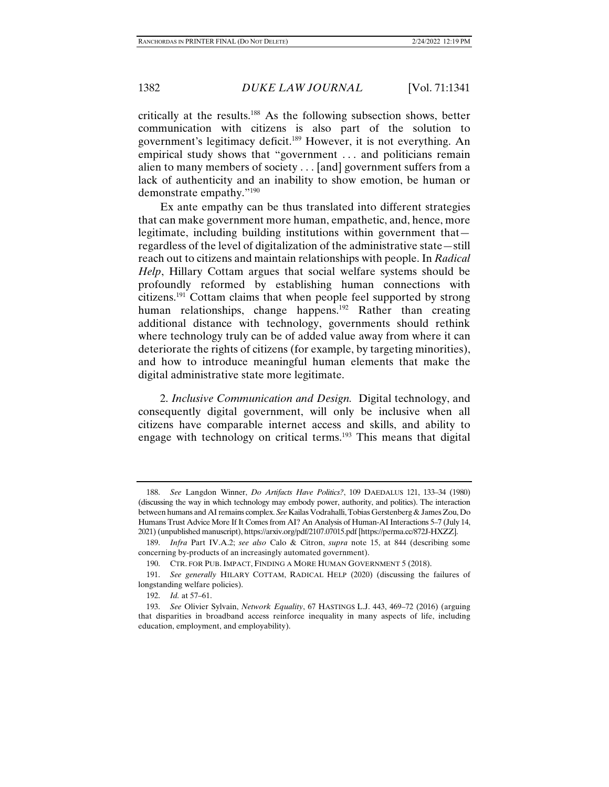critically at the results.188 As the following subsection shows, better communication with citizens is also part of the solution to government's legitimacy deficit.189 However, it is not everything. An empirical study shows that "government . . . and politicians remain alien to many members of society . . . [and] government suffers from a lack of authenticity and an inability to show emotion, be human or demonstrate empathy."190

Ex ante empathy can be thus translated into different strategies that can make government more human, empathetic, and, hence, more legitimate, including building institutions within government that regardless of the level of digitalization of the administrative state—still reach out to citizens and maintain relationships with people. In *Radical Help*, Hillary Cottam argues that social welfare systems should be profoundly reformed by establishing human connections with citizens.191 Cottam claims that when people feel supported by strong human relationships, change happens.<sup>192</sup> Rather than creating additional distance with technology, governments should rethink where technology truly can be of added value away from where it can deteriorate the rights of citizens (for example, by targeting minorities), and how to introduce meaningful human elements that make the digital administrative state more legitimate.

2. *Inclusive Communication and Design.* Digital technology, and consequently digital government, will only be inclusive when all citizens have comparable internet access and skills, and ability to engage with technology on critical terms.<sup>193</sup> This means that digital

 <sup>188.</sup> *See* Langdon Winner, *Do Artifacts Have Politics?*, 109 DAEDALUS 121, 133–34 (1980) (discussing the way in which technology may embody power, authority, and politics). The interaction between humans and AI remains complex. *See* Kailas Vodrahalli, Tobias Gerstenberg & James Zou, Do Humans Trust Advice More If It Comes from AI? An Analysis of Human-AI Interactions 5–7 (July 14, 2021) (unpublished manuscript), https://arxiv.org/pdf/2107.07015.pdf [https://perma.cc/872J-HXZZ].

 <sup>189.</sup> *Infra* Part IV.A.2; *see also* Calo & Citron, *supra* note 15, at 844 (describing some concerning by-products of an increasingly automated government).

 <sup>190.</sup> CTR. FOR PUB. IMPACT, FINDING A MORE HUMAN GOVERNMENT 5 (2018).

 <sup>191.</sup> *See generally* HILARY COTTAM, RADICAL HELP (2020) (discussing the failures of longstanding welfare policies).

 <sup>192.</sup> *Id.* at 57–61.

 <sup>193.</sup> *See* Olivier Sylvain, *Network Equality*, 67 HASTINGS L.J. 443, 469–72 (2016) (arguing that disparities in broadband access reinforce inequality in many aspects of life, including education, employment, and employability).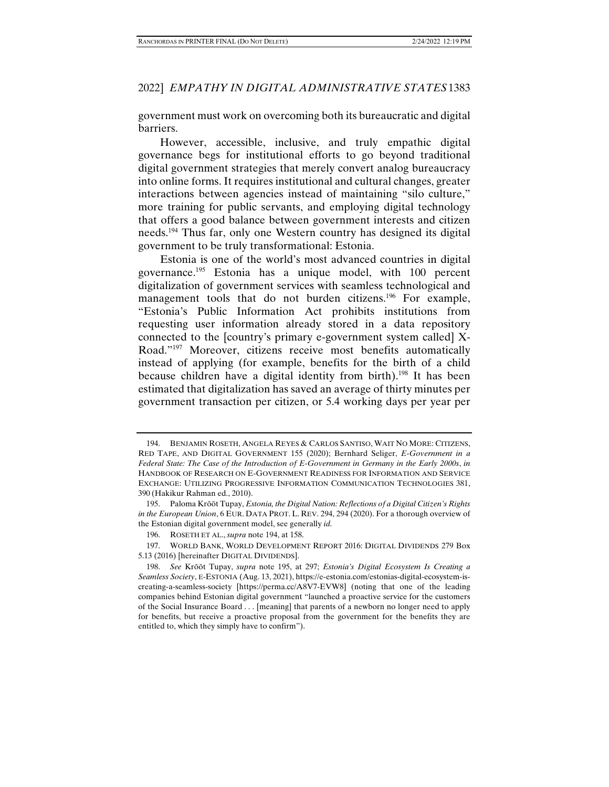government must work on overcoming both its bureaucratic and digital barriers.

However, accessible, inclusive, and truly empathic digital governance begs for institutional efforts to go beyond traditional digital government strategies that merely convert analog bureaucracy into online forms. It requires institutional and cultural changes, greater interactions between agencies instead of maintaining "silo culture," more training for public servants, and employing digital technology that offers a good balance between government interests and citizen needs.194 Thus far, only one Western country has designed its digital government to be truly transformational: Estonia.

Estonia is one of the world's most advanced countries in digital governance.195 Estonia has a unique model, with 100 percent digitalization of government services with seamless technological and management tools that do not burden citizens.<sup>196</sup> For example, "Estonia's Public Information Act prohibits institutions from requesting user information already stored in a data repository connected to the [country's primary e-government system called] X-Road."197 Moreover, citizens receive most benefits automatically instead of applying (for example, benefits for the birth of a child because children have a digital identity from birth).<sup>198</sup> It has been estimated that digitalization has saved an average of thirty minutes per government transaction per citizen, or 5.4 working days per year per

 <sup>194.</sup> BENJAMIN ROSETH, ANGELA REYES & CARLOS SANTISO, WAIT NO MORE: CITIZENS, RED TAPE, AND DIGITAL GOVERNMENT 155 (2020); Bernhard Seliger, *E-Government in a Federal State: The Case of the Introduction of E-Government in Germany in the Early 2000s*, *in* HANDBOOK OF RESEARCH ON E-GOVERNMENT READINESS FOR INFORMATION AND SERVICE EXCHANGE: UTILIZING PROGRESSIVE INFORMATION COMMUNICATION TECHNOLOGIES 381, 390 (Hakikur Rahman ed., 2010).

 <sup>195.</sup> Paloma Krõõt Tupay, *Estonia, the Digital Nation: Reflections of a Digital Citizen's Rights in the European Union*, 6 EUR. DATA PROT. L. REV. 294, 294 (2020). For a thorough overview of the Estonian digital government model, see generally *id.*

 <sup>196.</sup> ROSETH ET AL., *supra* note 194, at 158.

 <sup>197.</sup> WORLD BANK, WORLD DEVELOPMENT REPORT 2016: DIGITAL DIVIDENDS 279 Box 5.13 (2016) [hereinafter DIGITAL DIVIDENDS].

 <sup>198.</sup> *See* Krõõt Tupay, *supra* note 195, at 297; *Estonia's Digital Ecosystem Is Creating a Seamless Society*, E-ESTONIA (Aug. 13, 2021), https://e-estonia.com/estonias-digital-ecosystem-iscreating-a-seamless-society [https://perma.cc/A8V7-EVW8] (noting that one of the leading companies behind Estonian digital government "launched a proactive service for the customers of the Social Insurance Board . . . [meaning] that parents of a newborn no longer need to apply for benefits, but receive a proactive proposal from the government for the benefits they are entitled to, which they simply have to confirm").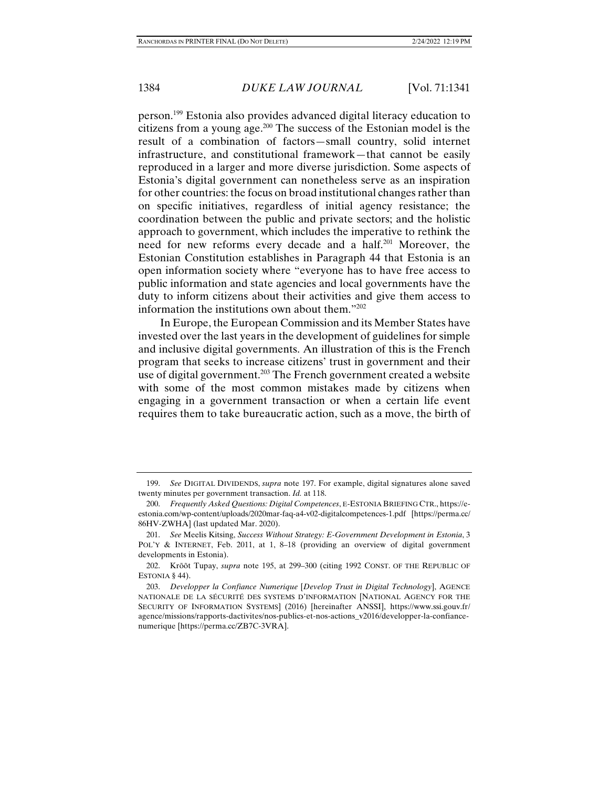person.199 Estonia also provides advanced digital literacy education to citizens from a young age.200 The success of the Estonian model is the result of a combination of factors—small country, solid internet infrastructure, and constitutional framework—that cannot be easily reproduced in a larger and more diverse jurisdiction. Some aspects of Estonia's digital government can nonetheless serve as an inspiration for other countries: the focus on broad institutional changes rather than on specific initiatives, regardless of initial agency resistance; the coordination between the public and private sectors; and the holistic approach to government, which includes the imperative to rethink the need for new reforms every decade and a half.<sup>201</sup> Moreover, the Estonian Constitution establishes in Paragraph 44 that Estonia is an open information society where "everyone has to have free access to public information and state agencies and local governments have the duty to inform citizens about their activities and give them access to information the institutions own about them."202

In Europe, the European Commission and its Member States have invested over the last years in the development of guidelines for simple and inclusive digital governments. An illustration of this is the French program that seeks to increase citizens' trust in government and their use of digital government.<sup>203</sup> The French government created a website with some of the most common mistakes made by citizens when engaging in a government transaction or when a certain life event requires them to take bureaucratic action, such as a move, the birth of

 <sup>199.</sup> *See* DIGITAL DIVIDENDS, *supra* note 197. For example, digital signatures alone saved twenty minutes per government transaction. *Id.* at 118.

 <sup>200.</sup> *Frequently Asked Questions: Digital Competences*, E-ESTONIA BRIEFING CTR., https://eestonia.com/wp-content/uploads/2020mar-faq-a4-v02-digitalcompetences-1.pdf [https://perma.cc/ 86HV-ZWHA] (last updated Mar. 2020).

 <sup>201.</sup> *See* Meelis Kitsing, *Success Without Strategy: E-Government Development in Estonia*, 3 POL'Y & INTERNET, Feb. 2011, at 1, 8-18 (providing an overview of digital government developments in Estonia).

 <sup>202.</sup> Krõõt Tupay, *supra* note 195, at 299–300 (citing 1992 CONST. OF THE REPUBLIC OF ESTONIA § 44).

 <sup>203.</sup> *Developper la Confiance Numerique* [*Develop Trust in Digital Technology*], AGENCE NATIONALE DE LA SÉCURITÉ DES SYSTEMS D'INFORMATION [NATIONAL AGENCY FOR THE SECURITY OF INFORMATION SYSTEMS] (2016) [hereinafter ANSSI], https://www.ssi.gouv.fr/ agence/missions/rapports-dactivites/nos-publics-et-nos-actions\_v2016/developper-la-confiancenumerique [https://perma.cc/ZB7C-3VRA].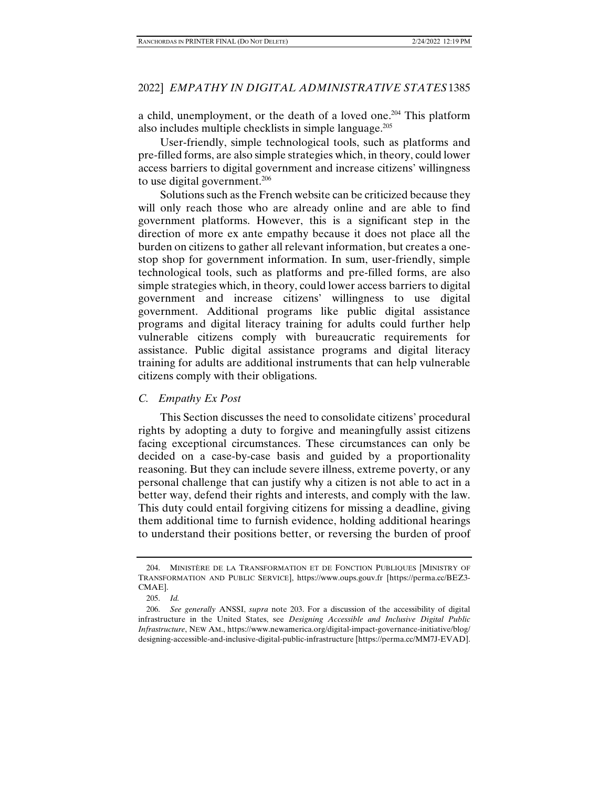a child, unemployment, or the death of a loved one.<sup>204</sup> This platform also includes multiple checklists in simple language.<sup>205</sup>

User-friendly, simple technological tools, such as platforms and pre-filled forms, are also simple strategies which, in theory, could lower access barriers to digital government and increase citizens' willingness to use digital government.<sup>206</sup>

Solutions such as the French website can be criticized because they will only reach those who are already online and are able to find government platforms. However, this is a significant step in the direction of more ex ante empathy because it does not place all the burden on citizens to gather all relevant information, but creates a onestop shop for government information. In sum, user-friendly, simple technological tools, such as platforms and pre-filled forms, are also simple strategies which, in theory, could lower access barriers to digital government and increase citizens' willingness to use digital government. Additional programs like public digital assistance programs and digital literacy training for adults could further help vulnerable citizens comply with bureaucratic requirements for assistance. Public digital assistance programs and digital literacy training for adults are additional instruments that can help vulnerable citizens comply with their obligations.

# *C. Empathy Ex Post*

This Section discusses the need to consolidate citizens' procedural rights by adopting a duty to forgive and meaningfully assist citizens facing exceptional circumstances. These circumstances can only be decided on a case-by-case basis and guided by a proportionality reasoning. But they can include severe illness, extreme poverty, or any personal challenge that can justify why a citizen is not able to act in a better way, defend their rights and interests, and comply with the law. This duty could entail forgiving citizens for missing a deadline, giving them additional time to furnish evidence, holding additional hearings to understand their positions better, or reversing the burden of proof

 <sup>204.</sup> MINISTÈRE DE LA TRANSFORMATION ET DE FONCTION PUBLIQUES [MINISTRY OF TRANSFORMATION AND PUBLIC SERVICE], https://www.oups.gouv.fr [https://perma.cc/BEZ3- CMAE].

 <sup>205.</sup> *Id.*

 <sup>206.</sup> *See generally* ANSSI, *supra* note 203. For a discussion of the accessibility of digital infrastructure in the United States, see *Designing Accessible and Inclusive Digital Public Infrastructure*, NEW AM., https://www.newamerica.org/digital-impact-governance-initiative/blog/ designing-accessible-and-inclusive-digital-public-infrastructure [https://perma.cc/MM7J-EVAD].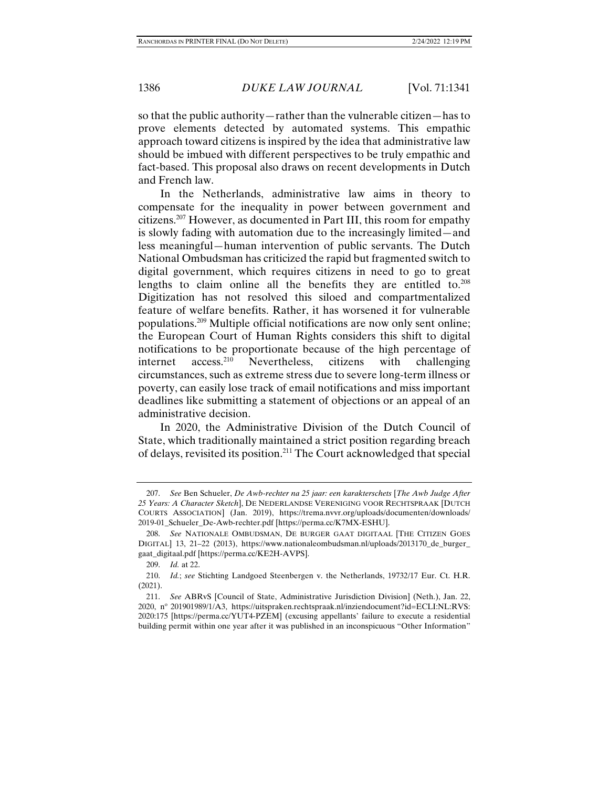so that the public authority—rather than the vulnerable citizen—has to prove elements detected by automated systems. This empathic approach toward citizens is inspired by the idea that administrative law should be imbued with different perspectives to be truly empathic and fact-based. This proposal also draws on recent developments in Dutch and French law.

In the Netherlands, administrative law aims in theory to compensate for the inequality in power between government and citizens.207 However, as documented in Part III, this room for empathy is slowly fading with automation due to the increasingly limited—and less meaningful—human intervention of public servants. The Dutch National Ombudsman has criticized the rapid but fragmented switch to digital government, which requires citizens in need to go to great lengths to claim online all the benefits they are entitled to.<sup>208</sup> Digitization has not resolved this siloed and compartmentalized feature of welfare benefits. Rather, it has worsened it for vulnerable populations.209 Multiple official notifications are now only sent online; the European Court of Human Rights considers this shift to digital notifications to be proportionate because of the high percentage of internet access.210 Nevertheless, citizens with challenging circumstances, such as extreme stress due to severe long-term illness or poverty, can easily lose track of email notifications and miss important deadlines like submitting a statement of objections or an appeal of an administrative decision.

In 2020, the Administrative Division of the Dutch Council of State, which traditionally maintained a strict position regarding breach of delays, revisited its position.211 The Court acknowledged that special

 <sup>207.</sup> *See* Ben Schueler, *De Awb-rechter na 25 jaar: een karakterschets* [*The Awb Judge After 25 Years: A Character Sketch*], DE NEDERLANDSE VERENIGING VOOR RECHTSPRAAK [DUTCH COURTS ASSOCIATION] (Jan. 2019), https://trema.nvvr.org/uploads/documenten/downloads/ 2019-01\_Schueler\_De-Awb-rechter.pdf [https://perma.cc/K7MX-ESHU].

 <sup>208.</sup> *See* NATIONALE OMBUDSMAN, DE BURGER GAAT DIGITAAL [THE CITIZEN GOES DIGITAL] 13, 21–22 (2013), https://www.nationaleombudsman.nl/uploads/2013170\_de\_burger\_ gaat\_digitaal.pdf [https://perma.cc/KE2H-AVPS].

 <sup>209.</sup> *Id.* at 22.

 <sup>210.</sup> *Id.*; *see* Stichting Landgoed Steenbergen v. the Netherlands, 19732/17 Eur. Ct. H.R. (2021).

 <sup>211.</sup> *See* ABRvS [Council of State, Administrative Jurisdiction Division] (Neth.), Jan. 22, 2020, no 201901989/1/A3, https://uitspraken.rechtspraak.nl/inziendocument?id=ECLI:NL:RVS: 2020:175 [https://perma.cc/YUT4-PZEM] (excusing appellants' failure to execute a residential building permit within one year after it was published in an inconspicuous "Other Information"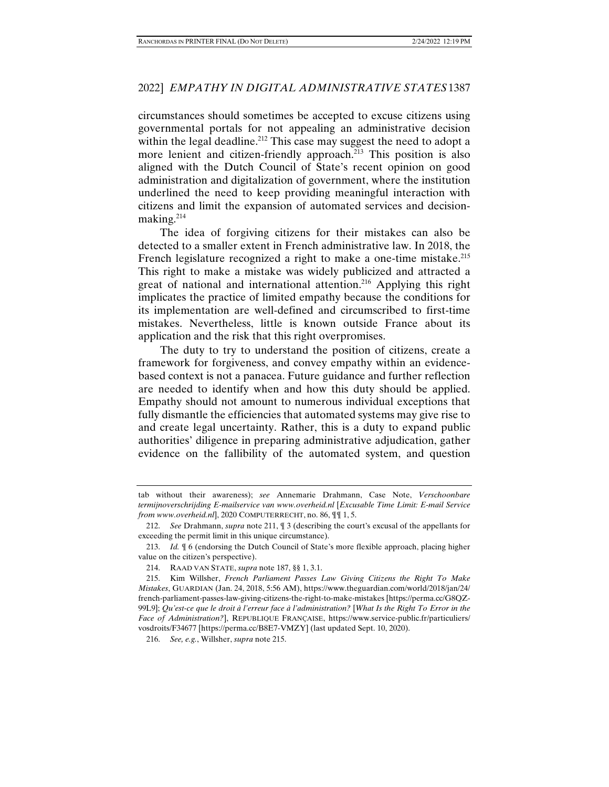circumstances should sometimes be accepted to excuse citizens using governmental portals for not appealing an administrative decision within the legal deadline.<sup>212</sup> This case may suggest the need to adopt a more lenient and citizen-friendly approach.<sup>213</sup> This position is also aligned with the Dutch Council of State's recent opinion on good administration and digitalization of government, where the institution underlined the need to keep providing meaningful interaction with citizens and limit the expansion of automated services and decisionmaking.<sup>214</sup>

The idea of forgiving citizens for their mistakes can also be detected to a smaller extent in French administrative law. In 2018, the French legislature recognized a right to make a one-time mistake.<sup>215</sup> This right to make a mistake was widely publicized and attracted a great of national and international attention.<sup>216</sup> Applying this right implicates the practice of limited empathy because the conditions for its implementation are well-defined and circumscribed to first-time mistakes. Nevertheless, little is known outside France about its application and the risk that this right overpromises.

The duty to try to understand the position of citizens, create a framework for forgiveness, and convey empathy within an evidencebased context is not a panacea. Future guidance and further reflection are needed to identify when and how this duty should be applied. Empathy should not amount to numerous individual exceptions that fully dismantle the efficiencies that automated systems may give rise to and create legal uncertainty. Rather, this is a duty to expand public authorities' diligence in preparing administrative adjudication, gather evidence on the fallibility of the automated system, and question

tab without their awareness); *see* Annemarie Drahmann, Case Note, *Verschoonbare termijnoverschrijding E-mailservice van www.overheid.nl* [*Excusable Time Limit: E-mail Service from www.overheid.nl*], 2020 COMPUTERRECHT, no. 86, ¶¶ 1, 5.

 <sup>212.</sup> *See* Drahmann, *supra* note 211, ¶ 3 (describing the court's excusal of the appellants for exceeding the permit limit in this unique circumstance).

 <sup>213.</sup> *Id.* ¶ 6 (endorsing the Dutch Council of State's more flexible approach, placing higher value on the citizen's perspective).

 <sup>214.</sup> RAAD VAN STATE, *supra* note 187, §§ 1, 3.1.

 <sup>215.</sup> Kim Willsher, *French Parliament Passes Law Giving Citizens the Right To Make Mistakes*, GUARDIAN (Jan. 24, 2018, 5:56 AM), https://www.theguardian.com/world/2018/jan/24/ french-parliament-passes-law-giving-citizens-the-right-to-make-mistakes [https://perma.cc/G8QZ-99L9]; *Qu'est-ce que le droit à l'erreur face à l'administration?* [*What Is the Right To Error in the Face of Administration?*], REPUBLIQUE FRANÇAISE, https://www.service-public.fr/particuliers/ vosdroits/F34677 [https://perma.cc/B8E7-VMZY] (last updated Sept. 10, 2020).

 <sup>216.</sup> *See, e.g.*, Willsher, *supra* note 215.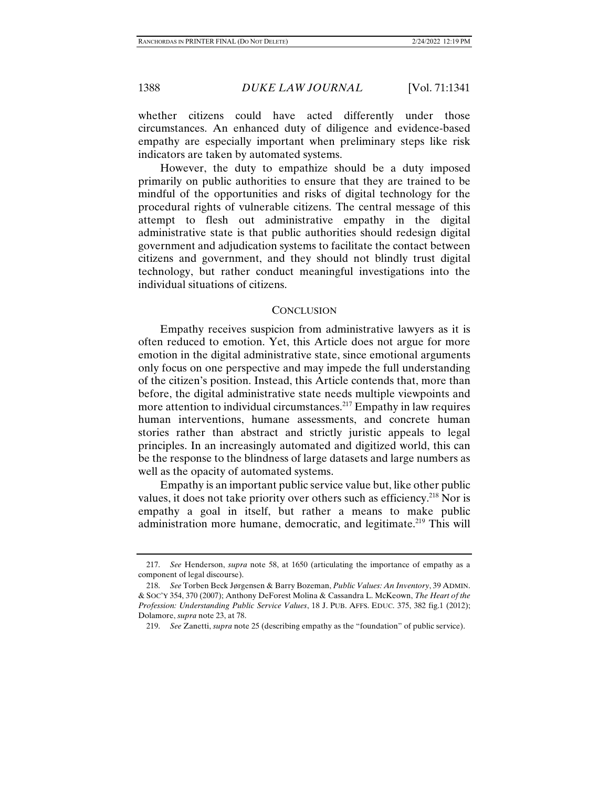whether citizens could have acted differently under those circumstances. An enhanced duty of diligence and evidence-based empathy are especially important when preliminary steps like risk indicators are taken by automated systems.

However, the duty to empathize should be a duty imposed primarily on public authorities to ensure that they are trained to be mindful of the opportunities and risks of digital technology for the procedural rights of vulnerable citizens. The central message of this attempt to flesh out administrative empathy in the digital administrative state is that public authorities should redesign digital government and adjudication systems to facilitate the contact between citizens and government, and they should not blindly trust digital technology, but rather conduct meaningful investigations into the individual situations of citizens.

# **CONCLUSION**

Empathy receives suspicion from administrative lawyers as it is often reduced to emotion. Yet, this Article does not argue for more emotion in the digital administrative state, since emotional arguments only focus on one perspective and may impede the full understanding of the citizen's position. Instead, this Article contends that, more than before, the digital administrative state needs multiple viewpoints and more attention to individual circumstances.217 Empathy in law requires human interventions, humane assessments, and concrete human stories rather than abstract and strictly juristic appeals to legal principles. In an increasingly automated and digitized world, this can be the response to the blindness of large datasets and large numbers as well as the opacity of automated systems.

Empathy is an important public service value but, like other public values, it does not take priority over others such as efficiency.<sup>218</sup> Nor is empathy a goal in itself, but rather a means to make public administration more humane, democratic, and legitimate.<sup>219</sup> This will

 <sup>217.</sup> *See* Henderson, *supra* note 58, at 1650 (articulating the importance of empathy as a component of legal discourse).

 <sup>218.</sup> *See* Torben Beck Jørgensen & Barry Bozeman, *Public Values: An Inventory*, 39 ADMIN. & SOC'Y 354, 370 (2007); Anthony DeForest Molina & Cassandra L. McKeown, *The Heart of the Profession: Understanding Public Service Values*, 18 J. PUB. AFFS. EDUC. 375, 382 fig.1 (2012); Dolamore, *supra* note 23, at 78.

 <sup>219.</sup> *See* Zanetti, *supra* note 25 (describing empathy as the "foundation" of public service).